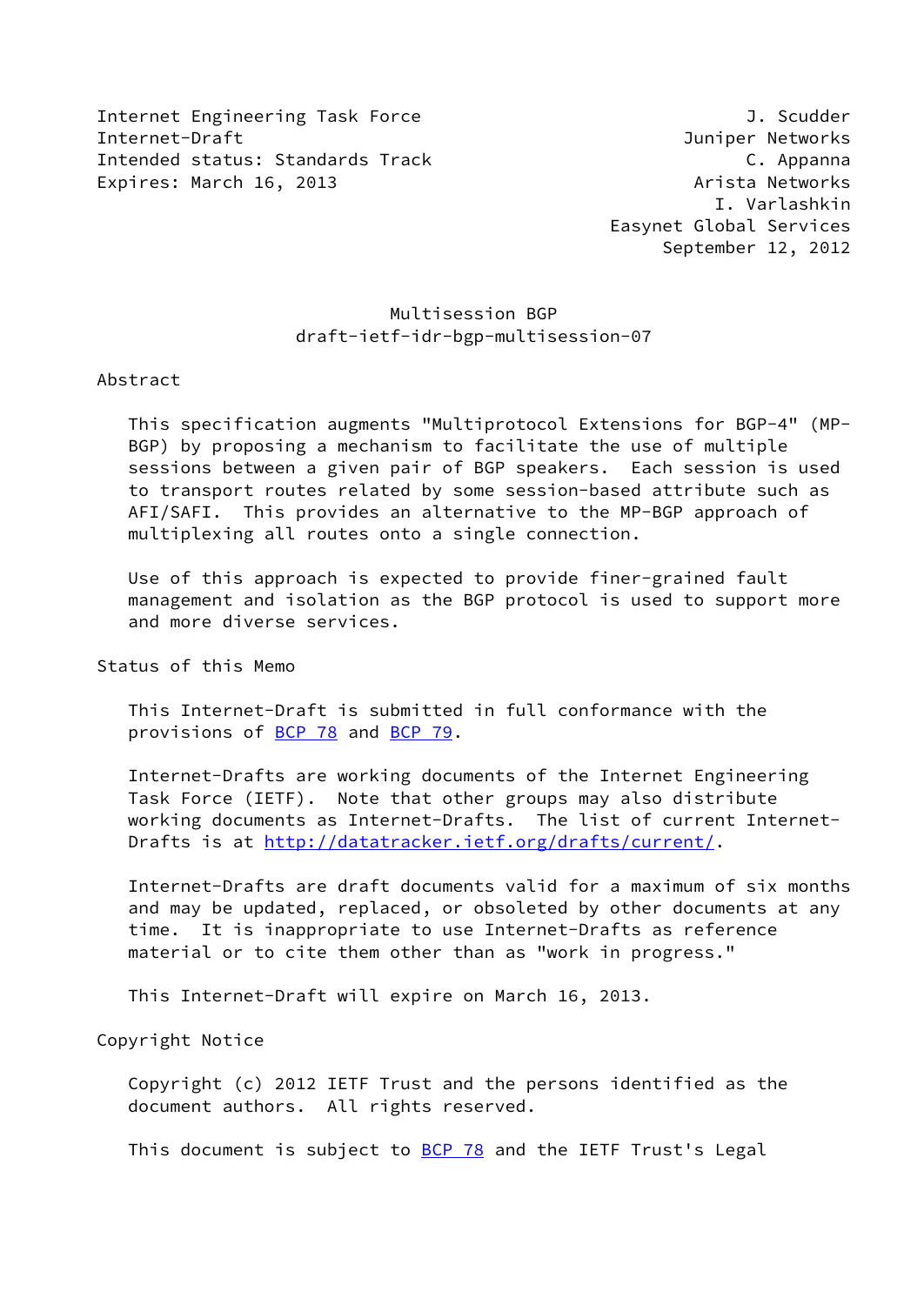Internet Engineering Task Force and Communication of the J. Scudder Internet-Draft Juniper Networks Intended status: Standards Track C. Appanna Expires: March 16, 2013 **Arista Networks** 

# Multisession BGP draft-ietf-idr-bgp-multisession-07

### Abstract

 This specification augments "Multiprotocol Extensions for BGP-4" (MP- BGP) by proposing a mechanism to facilitate the use of multiple sessions between a given pair of BGP speakers. Each session is used to transport routes related by some session-based attribute such as AFI/SAFI. This provides an alternative to the MP-BGP approach of multiplexing all routes onto a single connection.

 Use of this approach is expected to provide finer-grained fault management and isolation as the BGP protocol is used to support more and more diverse services.

Status of this Memo

 This Internet-Draft is submitted in full conformance with the provisions of [BCP 78](https://datatracker.ietf.org/doc/pdf/bcp78) and [BCP 79](https://datatracker.ietf.org/doc/pdf/bcp79).

 Internet-Drafts are working documents of the Internet Engineering Task Force (IETF). Note that other groups may also distribute working documents as Internet-Drafts. The list of current Internet Drafts is at<http://datatracker.ietf.org/drafts/current/>.

 Internet-Drafts are draft documents valid for a maximum of six months and may be updated, replaced, or obsoleted by other documents at any time. It is inappropriate to use Internet-Drafts as reference material or to cite them other than as "work in progress."

This Internet-Draft will expire on March 16, 2013.

Copyright Notice

 Copyright (c) 2012 IETF Trust and the persons identified as the document authors. All rights reserved.

This document is subject to **[BCP 78](https://datatracker.ietf.org/doc/pdf/bcp78)** and the IETF Trust's Legal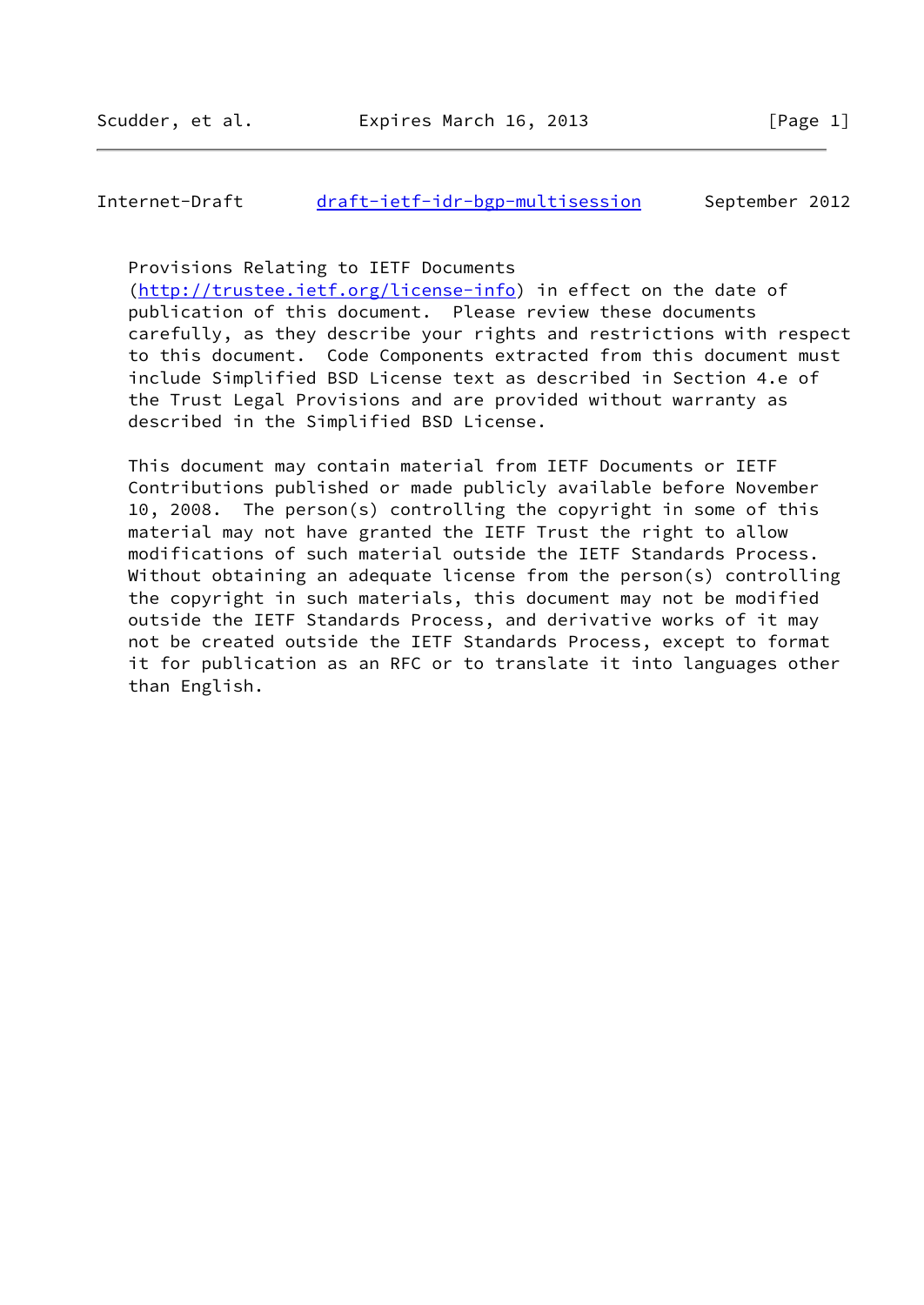## Internet-Draft [draft-ietf-idr-bgp-multisession](https://datatracker.ietf.org/doc/pdf/draft-ietf-idr-bgp-multisession) September 2012

Provisions Relating to IETF Documents

 [\(http://trustee.ietf.org/license-info](http://trustee.ietf.org/license-info)) in effect on the date of publication of this document. Please review these documents carefully, as they describe your rights and restrictions with respect to this document. Code Components extracted from this document must include Simplified BSD License text as described in Section 4.e of the Trust Legal Provisions and are provided without warranty as described in the Simplified BSD License.

 This document may contain material from IETF Documents or IETF Contributions published or made publicly available before November 10, 2008. The person(s) controlling the copyright in some of this material may not have granted the IETF Trust the right to allow modifications of such material outside the IETF Standards Process. Without obtaining an adequate license from the person(s) controlling the copyright in such materials, this document may not be modified outside the IETF Standards Process, and derivative works of it may not be created outside the IETF Standards Process, except to format it for publication as an RFC or to translate it into languages other than English.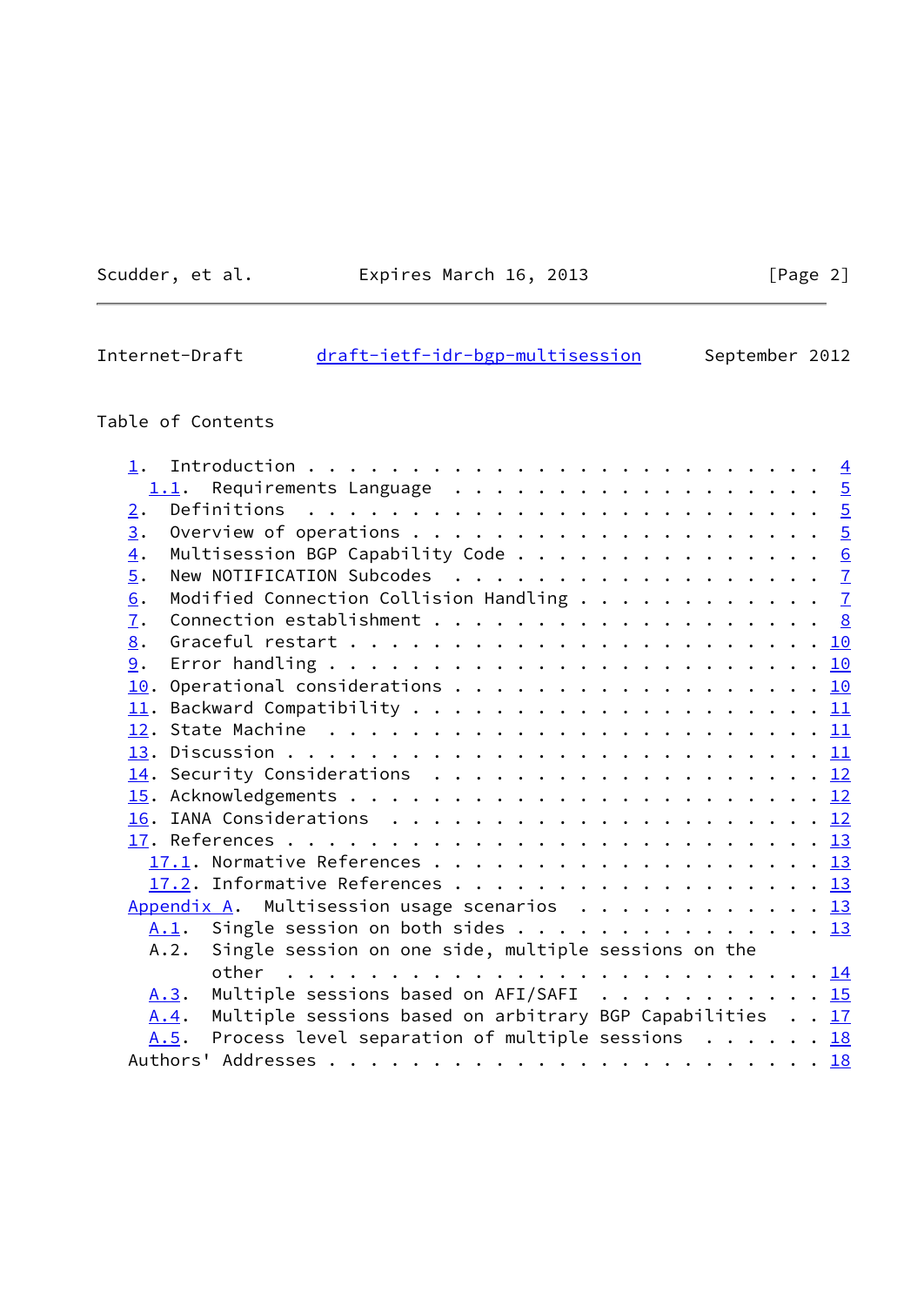Scudder, et al. **Expires March 16, 2013** [Page 2]

# Internet-Draft [draft-ietf-idr-bgp-multisession](https://datatracker.ietf.org/doc/pdf/draft-ietf-idr-bgp-multisession) September 2012

# Table of Contents

|                  | Requirements Language $\ldots$ 5<br>1.1.                                 |  |  |  |  |  |  |
|------------------|--------------------------------------------------------------------------|--|--|--|--|--|--|
| 2.               |                                                                          |  |  |  |  |  |  |
| $\overline{3}$ . |                                                                          |  |  |  |  |  |  |
| $\overline{4}$ . | Multisession BGP Capability Code 6                                       |  |  |  |  |  |  |
| $\overline{5}$ . |                                                                          |  |  |  |  |  |  |
| 6.               | Modified Connection Collision Handling $\cdots$ $\frac{7}{2}$            |  |  |  |  |  |  |
| $\overline{1}$ . |                                                                          |  |  |  |  |  |  |
| 8.               |                                                                          |  |  |  |  |  |  |
| 9.               |                                                                          |  |  |  |  |  |  |
|                  |                                                                          |  |  |  |  |  |  |
|                  |                                                                          |  |  |  |  |  |  |
|                  |                                                                          |  |  |  |  |  |  |
|                  |                                                                          |  |  |  |  |  |  |
|                  |                                                                          |  |  |  |  |  |  |
|                  |                                                                          |  |  |  |  |  |  |
|                  |                                                                          |  |  |  |  |  |  |
|                  |                                                                          |  |  |  |  |  |  |
|                  | 17.1. Normative References 13                                            |  |  |  |  |  |  |
|                  | 17.2. Informative References 13                                          |  |  |  |  |  |  |
|                  | Appendix A. Multisession usage scenarios $\cdots$ 13                     |  |  |  |  |  |  |
|                  | A.1. Single session on both sides 13                                     |  |  |  |  |  |  |
|                  | Single session on one side, multiple sessions on the<br>A.2.             |  |  |  |  |  |  |
|                  |                                                                          |  |  |  |  |  |  |
|                  | Multiple sessions based on AFI/SAFI 15<br>A.3.                           |  |  |  |  |  |  |
|                  | Multiple sessions based on arbitrary BGP Capabilities 17<br>A.4.         |  |  |  |  |  |  |
|                  | Process level separation of multiple sessions $\ldots \ldots$ 18<br>A.5. |  |  |  |  |  |  |
|                  |                                                                          |  |  |  |  |  |  |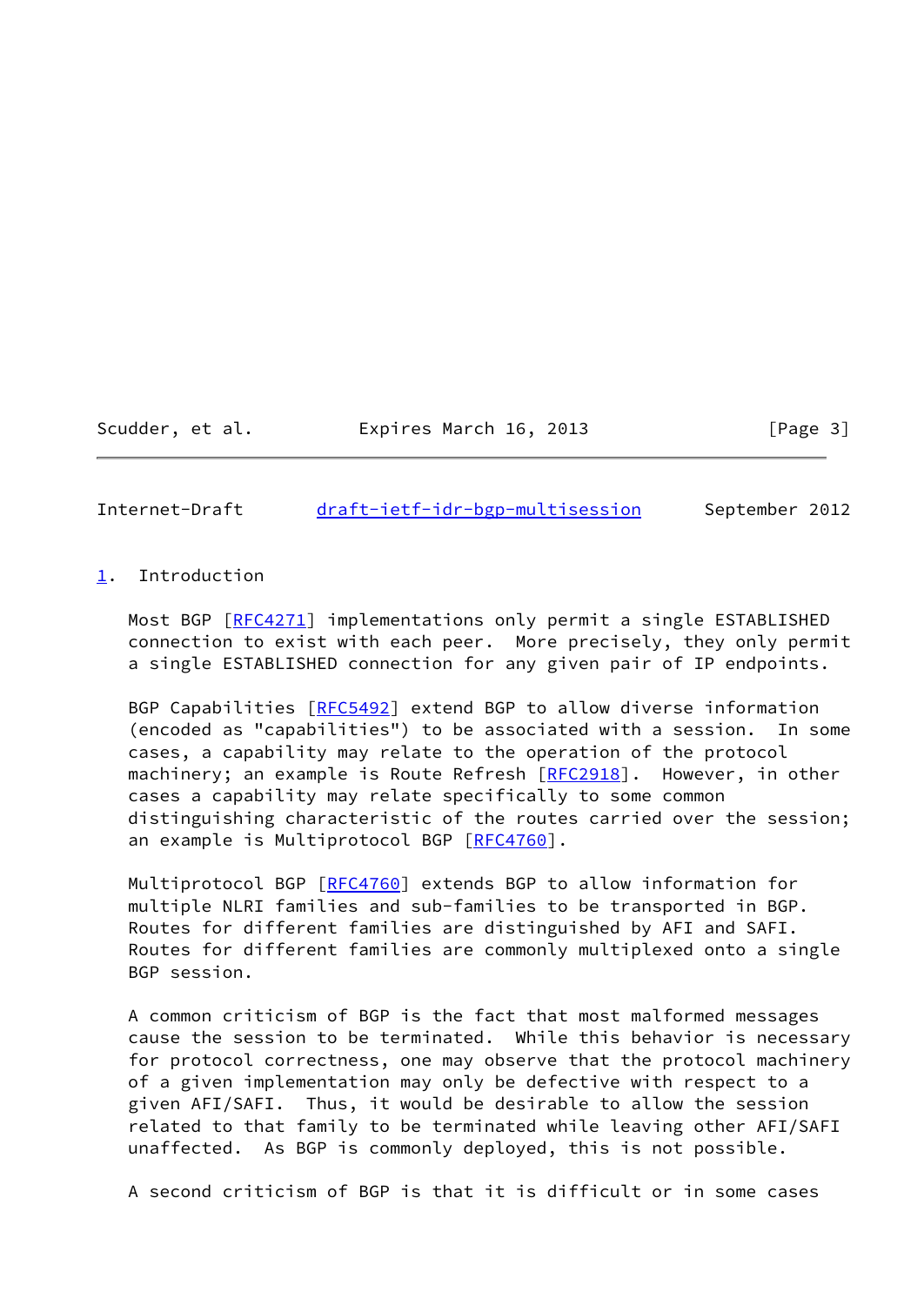Scudder, et al. Expires March 16, 2013 [Page 3]

<span id="page-3-1"></span>Internet-Draft [draft-ietf-idr-bgp-multisession](https://datatracker.ietf.org/doc/pdf/draft-ietf-idr-bgp-multisession) September 2012

## <span id="page-3-0"></span>[1](#page-3-0). Introduction

Most BGP [\[RFC4271](https://datatracker.ietf.org/doc/pdf/rfc4271)] implementations only permit a single ESTABLISHED connection to exist with each peer. More precisely, they only permit a single ESTABLISHED connection for any given pair of IP endpoints.

BGP Capabilities [\[RFC5492](https://datatracker.ietf.org/doc/pdf/rfc5492)] extend BGP to allow diverse information (encoded as "capabilities") to be associated with a session. In some cases, a capability may relate to the operation of the protocol machinery; an example is Route Refresh [\[RFC2918](https://datatracker.ietf.org/doc/pdf/rfc2918)]. However, in other cases a capability may relate specifically to some common distinguishing characteristic of the routes carried over the session; an example is Multiprotocol BGP [\[RFC4760](https://datatracker.ietf.org/doc/pdf/rfc4760)].

Multiprotocol BGP [[RFC4760](https://datatracker.ietf.org/doc/pdf/rfc4760)] extends BGP to allow information for multiple NLRI families and sub-families to be transported in BGP. Routes for different families are distinguished by AFI and SAFI. Routes for different families are commonly multiplexed onto a single BGP session.

 A common criticism of BGP is the fact that most malformed messages cause the session to be terminated. While this behavior is necessary for protocol correctness, one may observe that the protocol machinery of a given implementation may only be defective with respect to a given AFI/SAFI. Thus, it would be desirable to allow the session related to that family to be terminated while leaving other AFI/SAFI unaffected. As BGP is commonly deployed, this is not possible.

A second criticism of BGP is that it is difficult or in some cases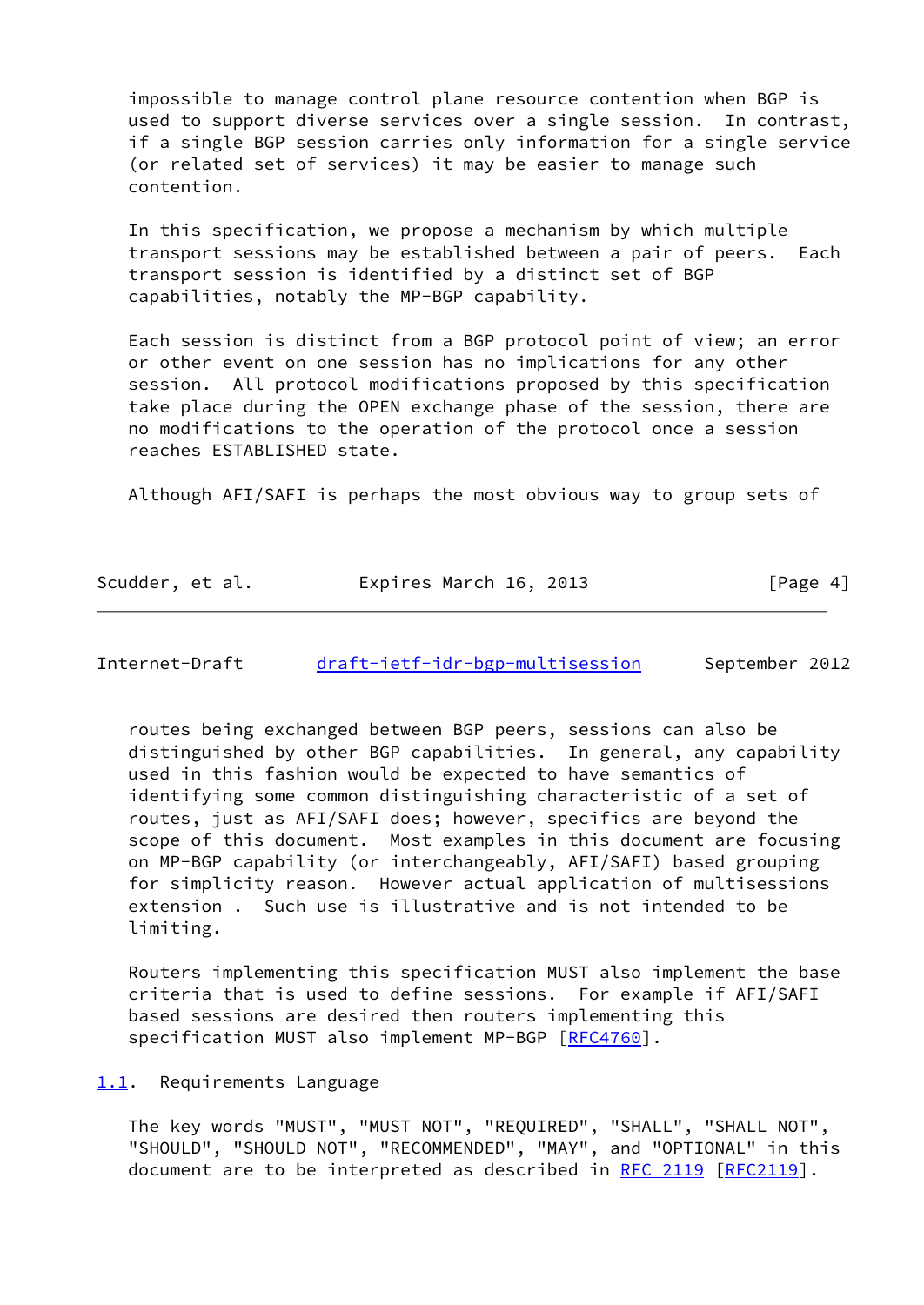impossible to manage control plane resource contention when BGP is used to support diverse services over a single session. In contrast, if a single BGP session carries only information for a single service (or related set of services) it may be easier to manage such contention.

 In this specification, we propose a mechanism by which multiple transport sessions may be established between a pair of peers. Each transport session is identified by a distinct set of BGP capabilities, notably the MP-BGP capability.

 Each session is distinct from a BGP protocol point of view; an error or other event on one session has no implications for any other session. All protocol modifications proposed by this specification take place during the OPEN exchange phase of the session, there are no modifications to the operation of the protocol once a session reaches ESTABLISHED state.

Although AFI/SAFI is perhaps the most obvious way to group sets of

| Scudder, et al. | Expires March 16, 2013 | [Page 4] |
|-----------------|------------------------|----------|
|-----------------|------------------------|----------|

<span id="page-4-1"></span>Internet-Draft [draft-ietf-idr-bgp-multisession](https://datatracker.ietf.org/doc/pdf/draft-ietf-idr-bgp-multisession) September 2012

 routes being exchanged between BGP peers, sessions can also be distinguished by other BGP capabilities. In general, any capability used in this fashion would be expected to have semantics of identifying some common distinguishing characteristic of a set of routes, just as AFI/SAFI does; however, specifics are beyond the scope of this document. Most examples in this document are focusing on MP-BGP capability (or interchangeably, AFI/SAFI) based grouping for simplicity reason. However actual application of multisessions extension . Such use is illustrative and is not intended to be limiting.

 Routers implementing this specification MUST also implement the base criteria that is used to define sessions. For example if AFI/SAFI based sessions are desired then routers implementing this specification MUST also implement MP-BGP [\[RFC4760](https://datatracker.ietf.org/doc/pdf/rfc4760)].

<span id="page-4-0"></span>[1.1](#page-4-0). Requirements Language

 The key words "MUST", "MUST NOT", "REQUIRED", "SHALL", "SHALL NOT", "SHOULD", "SHOULD NOT", "RECOMMENDED", "MAY", and "OPTIONAL" in this document are to be interpreted as described in [RFC 2119 \[RFC2119](https://datatracker.ietf.org/doc/pdf/rfc2119)].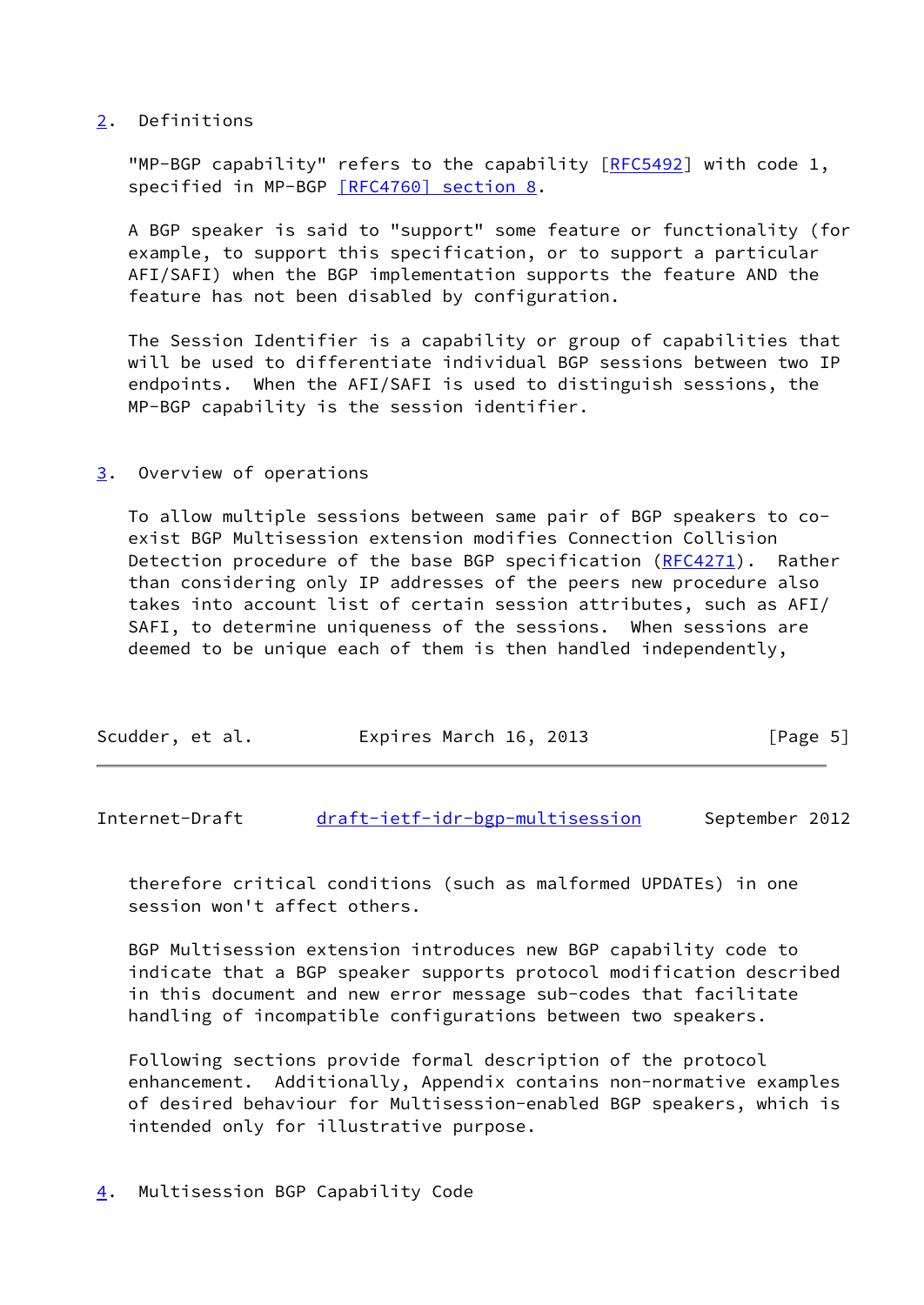## <span id="page-5-0"></span>[2](#page-5-0). Definitions

"MP-BGP capability" refers to the capability [\[RFC5492](https://datatracker.ietf.org/doc/pdf/rfc5492)] with code 1, specified in MP-BGP [\[RFC4760\] section](https://datatracker.ietf.org/doc/pdf/rfc4760#section-8) 8.

 A BGP speaker is said to "support" some feature or functionality (for example, to support this specification, or to support a particular AFI/SAFI) when the BGP implementation supports the feature AND the feature has not been disabled by configuration.

 The Session Identifier is a capability or group of capabilities that will be used to differentiate individual BGP sessions between two IP endpoints. When the AFI/SAFI is used to distinguish sessions, the MP-BGP capability is the session identifier.

## <span id="page-5-1"></span>[3](#page-5-1). Overview of operations

 To allow multiple sessions between same pair of BGP speakers to co exist BGP Multisession extension modifies Connection Collision Detection procedure of the base BGP specification ([RFC4271](https://datatracker.ietf.org/doc/pdf/rfc4271)). Rather than considering only IP addresses of the peers new procedure also takes into account list of certain session attributes, such as AFI/ SAFI, to determine uniqueness of the sessions. When sessions are deemed to be unique each of them is then handled independently,

|  | Scudder, et al. | Expires March 16, 2013 | [Page 5] |
|--|-----------------|------------------------|----------|
|--|-----------------|------------------------|----------|

<span id="page-5-3"></span>Internet-Draft [draft-ietf-idr-bgp-multisession](https://datatracker.ietf.org/doc/pdf/draft-ietf-idr-bgp-multisession) September 2012

 therefore critical conditions (such as malformed UPDATEs) in one session won't affect others.

 BGP Multisession extension introduces new BGP capability code to indicate that a BGP speaker supports protocol modification described in this document and new error message sub-codes that facilitate handling of incompatible configurations between two speakers.

<span id="page-5-2"></span> Following sections provide formal description of the protocol enhancement. Additionally, Appendix contains non-normative examples of desired behaviour for Multisession-enabled BGP speakers, which is intended only for illustrative purpose.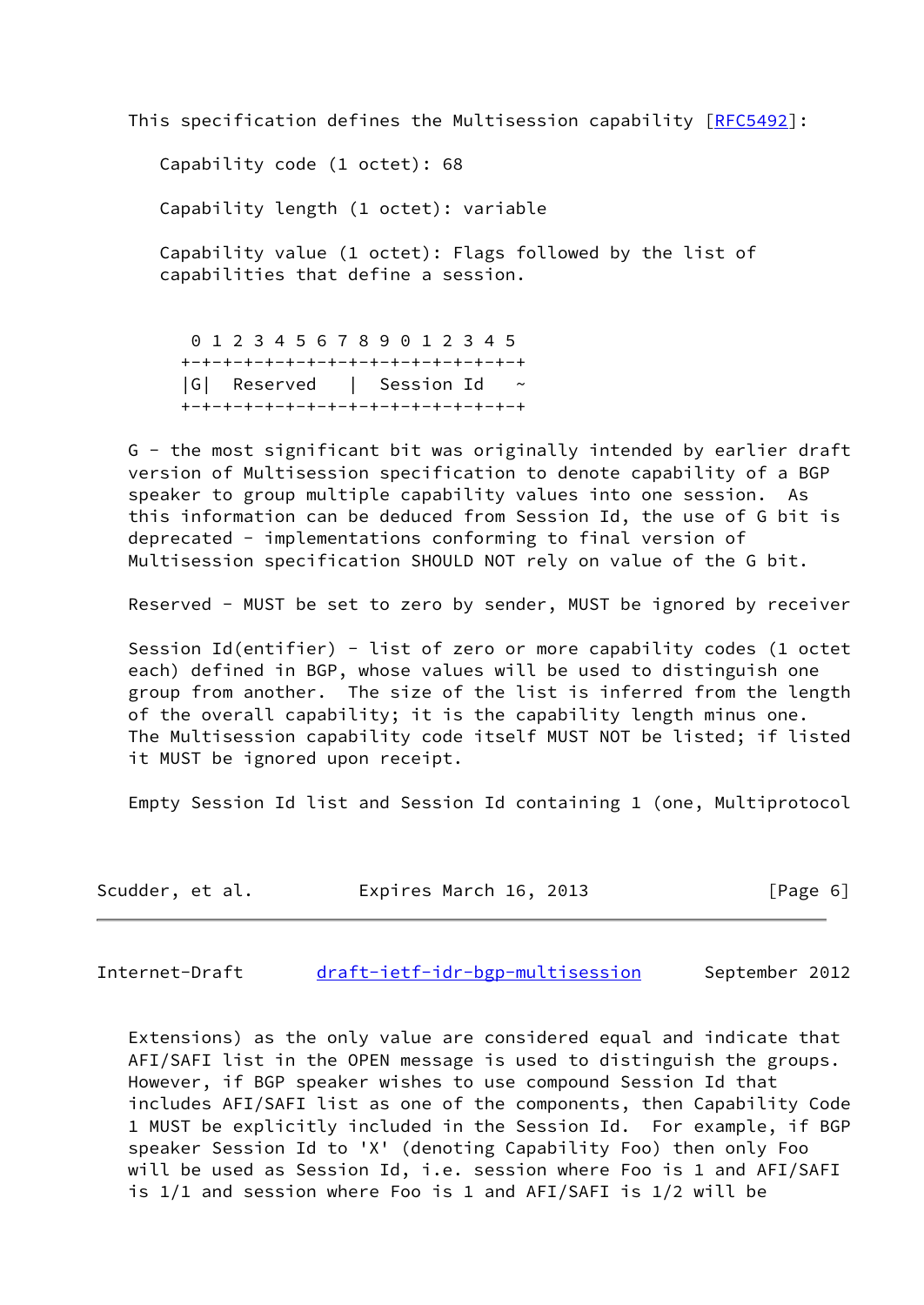This specification defines the Multisession capability [\[RFC5492](https://datatracker.ietf.org/doc/pdf/rfc5492)]:

 Capability code (1 octet): 68 Capability length (1 octet): variable Capability value (1 octet): Flags followed by the list of capabilities that define a session.

 0 1 2 3 4 5 6 7 8 9 0 1 2 3 4 5 +-+-+-+-+-+-+-+-+-+-+-+-+-+-+-+-+ |G| Reserved | Session Id ~ +-+-+-+-+-+-+-+-+-+-+-+-+-+-+-+-+

 G - the most significant bit was originally intended by earlier draft version of Multisession specification to denote capability of a BGP speaker to group multiple capability values into one session. As this information can be deduced from Session Id, the use of G bit is deprecated - implementations conforming to final version of Multisession specification SHOULD NOT rely on value of the G bit.

Reserved - MUST be set to zero by sender, MUST be ignored by receiver

 Session Id(entifier) - list of zero or more capability codes (1 octet each) defined in BGP, whose values will be used to distinguish one group from another. The size of the list is inferred from the length of the overall capability; it is the capability length minus one. The Multisession capability code itself MUST NOT be listed; if listed it MUST be ignored upon receipt.

Empty Session Id list and Session Id containing 1 (one, Multiprotocol

| Scudder, et al. | Expires March 16, 2013 | [Page 6] |
|-----------------|------------------------|----------|
|-----------------|------------------------|----------|

<span id="page-6-0"></span>Internet-Draft [draft-ietf-idr-bgp-multisession](https://datatracker.ietf.org/doc/pdf/draft-ietf-idr-bgp-multisession) September 2012

 Extensions) as the only value are considered equal and indicate that AFI/SAFI list in the OPEN message is used to distinguish the groups. However, if BGP speaker wishes to use compound Session Id that includes AFI/SAFI list as one of the components, then Capability Code 1 MUST be explicitly included in the Session Id. For example, if BGP speaker Session Id to 'X' (denoting Capability Foo) then only Foo will be used as Session Id, i.e. session where Foo is 1 and AFI/SAFI is 1/1 and session where Foo is 1 and AFI/SAFI is 1/2 will be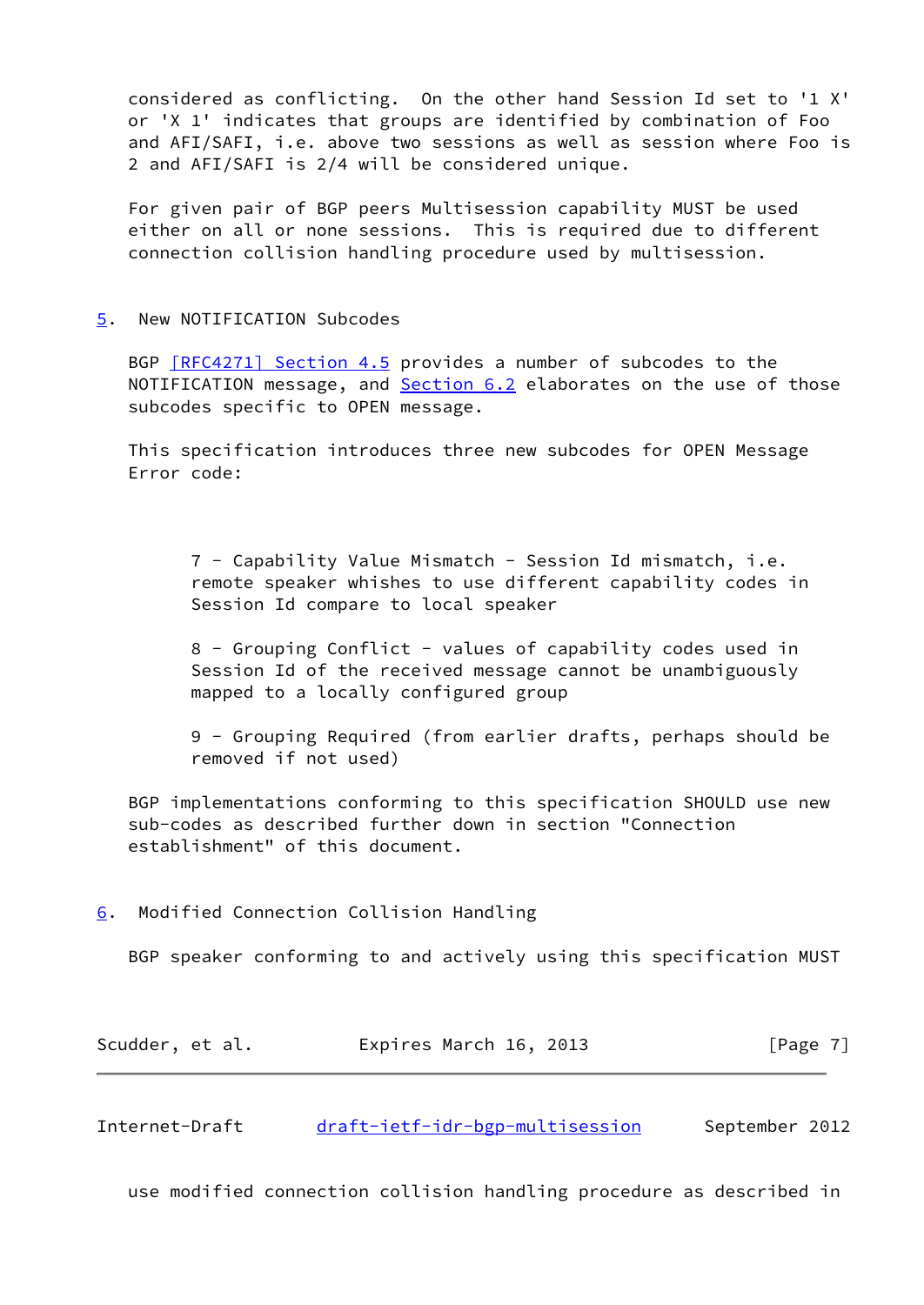considered as conflicting. On the other hand Session Id set to '1 X' or 'X 1' indicates that groups are identified by combination of Foo and AFI/SAFI, i.e. above two sessions as well as session where Foo is 2 and AFI/SAFI is 2/4 will be considered unique.

 For given pair of BGP peers Multisession capability MUST be used either on all or none sessions. This is required due to different connection collision handling procedure used by multisession.

<span id="page-7-0"></span>[5](#page-7-0). New NOTIFICATION Subcodes

BGP **[RFC4271]** Section 4.5 provides a number of subcodes to the NOTIFICATION message, and **Section 6.2** elaborates on the use of those subcodes specific to OPEN message.

 This specification introduces three new subcodes for OPEN Message Error code:

 7 - Capability Value Mismatch - Session Id mismatch, i.e. remote speaker whishes to use different capability codes in Session Id compare to local speaker

 8 - Grouping Conflict - values of capability codes used in Session Id of the received message cannot be unambiguously mapped to a locally configured group

 9 - Grouping Required (from earlier drafts, perhaps should be removed if not used)

 BGP implementations conforming to this specification SHOULD use new sub-codes as described further down in section "Connection establishment" of this document.

<span id="page-7-1"></span>[6](#page-7-1). Modified Connection Collision Handling

BGP speaker conforming to and actively using this specification MUST

| Scudder, et al. | Expires March 16, 2013 | [Page 7] |
|-----------------|------------------------|----------|
|-----------------|------------------------|----------|

<span id="page-7-2"></span>Internet-Draft [draft-ietf-idr-bgp-multisession](https://datatracker.ietf.org/doc/pdf/draft-ietf-idr-bgp-multisession) September 2012

use modified connection collision handling procedure as described in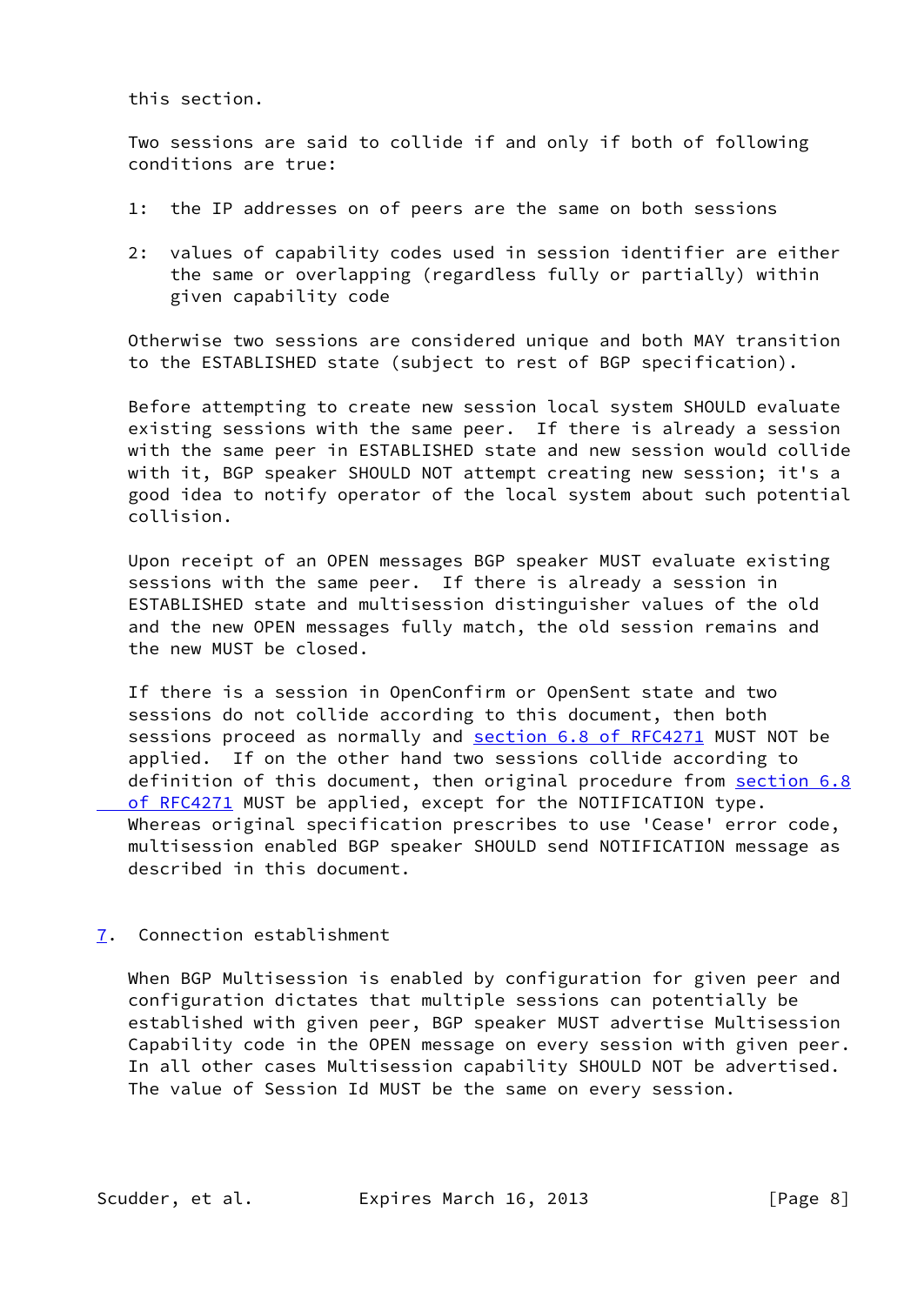this section.

 Two sessions are said to collide if and only if both of following conditions are true:

- 1: the IP addresses on of peers are the same on both sessions
- 2: values of capability codes used in session identifier are either the same or overlapping (regardless fully or partially) within given capability code

 Otherwise two sessions are considered unique and both MAY transition to the ESTABLISHED state (subject to rest of BGP specification).

 Before attempting to create new session local system SHOULD evaluate existing sessions with the same peer. If there is already a session with the same peer in ESTABLISHED state and new session would collide with it, BGP speaker SHOULD NOT attempt creating new session; it's a good idea to notify operator of the local system about such potential collision.

 Upon receipt of an OPEN messages BGP speaker MUST evaluate existing sessions with the same peer. If there is already a session in ESTABLISHED state and multisession distinguisher values of the old and the new OPEN messages fully match, the old session remains and the new MUST be closed.

 If there is a session in OpenConfirm or OpenSent state and two sessions do not collide according to this document, then both sessions proceed as normally and section [6.8 of RFC4271](https://datatracker.ietf.org/doc/pdf/rfc4271#section-6.8) MUST NOT be applied. If on the other hand two sessions collide according to definition of this document, then original procedure from [section](https://datatracker.ietf.org/doc/pdf/rfc4271#section-6.8) 6.8 of RFC4271 MUST be applied, except for the NOTIFICATION type. Whereas original specification prescribes to use 'Cease' error code, multisession enabled BGP speaker SHOULD send NOTIFICATION message as described in this document.

<span id="page-8-0"></span>[7](#page-8-0). Connection establishment

 When BGP Multisession is enabled by configuration for given peer and configuration dictates that multiple sessions can potentially be established with given peer, BGP speaker MUST advertise Multisession Capability code in the OPEN message on every session with given peer. In all other cases Multisession capability SHOULD NOT be advertised. The value of Session Id MUST be the same on every session.

Scudder, et al. Expires March 16, 2013 [Page 8]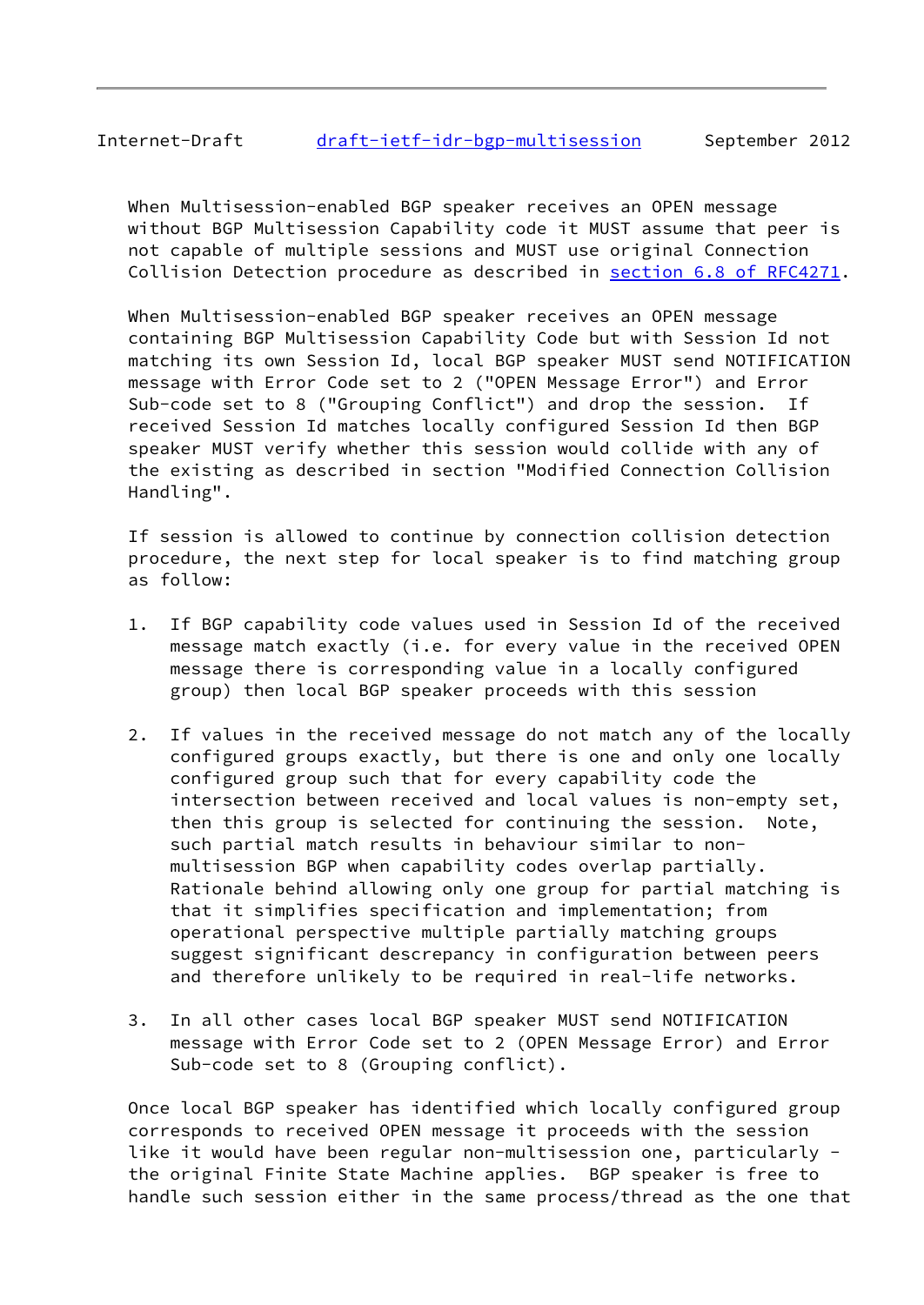# Internet-Draft [draft-ietf-idr-bgp-multisession](https://datatracker.ietf.org/doc/pdf/draft-ietf-idr-bgp-multisession) September 2012

 When Multisession-enabled BGP speaker receives an OPEN message without BGP Multisession Capability code it MUST assume that peer is not capable of multiple sessions and MUST use original Connection Collision Detection procedure as described in section [6.8 of RFC4271](https://datatracker.ietf.org/doc/pdf/rfc4271#section-6.8).

 When Multisession-enabled BGP speaker receives an OPEN message containing BGP Multisession Capability Code but with Session Id not matching its own Session Id, local BGP speaker MUST send NOTIFICATION message with Error Code set to 2 ("OPEN Message Error") and Error Sub-code set to 8 ("Grouping Conflict") and drop the session. If received Session Id matches locally configured Session Id then BGP speaker MUST verify whether this session would collide with any of the existing as described in section "Modified Connection Collision Handling".

 If session is allowed to continue by connection collision detection procedure, the next step for local speaker is to find matching group as follow:

- 1. If BGP capability code values used in Session Id of the received message match exactly (i.e. for every value in the received OPEN message there is corresponding value in a locally configured group) then local BGP speaker proceeds with this session
- 2. If values in the received message do not match any of the locally configured groups exactly, but there is one and only one locally configured group such that for every capability code the intersection between received and local values is non-empty set, then this group is selected for continuing the session. Note, such partial match results in behaviour similar to non multisession BGP when capability codes overlap partially. Rationale behind allowing only one group for partial matching is that it simplifies specification and implementation; from operational perspective multiple partially matching groups suggest significant descrepancy in configuration between peers and therefore unlikely to be required in real-life networks.
- 3. In all other cases local BGP speaker MUST send NOTIFICATION message with Error Code set to 2 (OPEN Message Error) and Error Sub-code set to 8 (Grouping conflict).

 Once local BGP speaker has identified which locally configured group corresponds to received OPEN message it proceeds with the session like it would have been regular non-multisession one, particularly the original Finite State Machine applies. BGP speaker is free to handle such session either in the same process/thread as the one that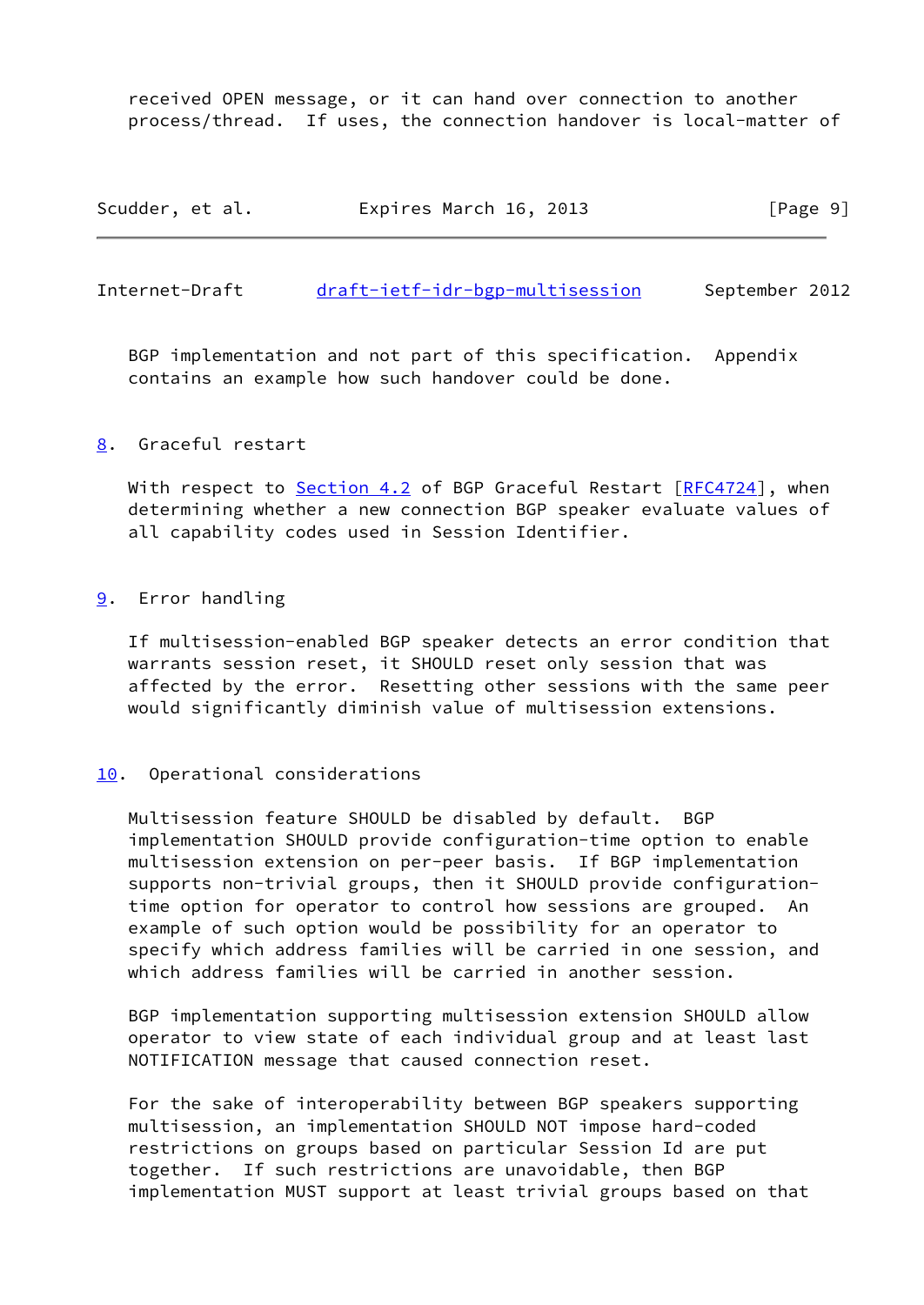received OPEN message, or it can hand over connection to another process/thread. If uses, the connection handover is local-matter of

| Scudder, et al. | Expires March 16, 2013 | [Page 9] |
|-----------------|------------------------|----------|
|-----------------|------------------------|----------|

<span id="page-10-1"></span>Internet-Draft [draft-ietf-idr-bgp-multisession](https://datatracker.ietf.org/doc/pdf/draft-ietf-idr-bgp-multisession) September 2012

 BGP implementation and not part of this specification. Appendix contains an example how such handover could be done.

## <span id="page-10-0"></span>[8](#page-10-0). Graceful restart

With respect to Section 4.2 of BGP Graceful Restart [\[RFC4724](https://datatracker.ietf.org/doc/pdf/rfc4724)], when determining whether a new connection BGP speaker evaluate values of all capability codes used in Session Identifier.

## <span id="page-10-2"></span>[9](#page-10-2). Error handling

 If multisession-enabled BGP speaker detects an error condition that warrants session reset, it SHOULD reset only session that was affected by the error. Resetting other sessions with the same peer would significantly diminish value of multisession extensions.

### <span id="page-10-3"></span>[10.](#page-10-3) Operational considerations

 Multisession feature SHOULD be disabled by default. BGP implementation SHOULD provide configuration-time option to enable multisession extension on per-peer basis. If BGP implementation supports non-trivial groups, then it SHOULD provide configuration time option for operator to control how sessions are grouped. An example of such option would be possibility for an operator to specify which address families will be carried in one session, and which address families will be carried in another session.

 BGP implementation supporting multisession extension SHOULD allow operator to view state of each individual group and at least last NOTIFICATION message that caused connection reset.

 For the sake of interoperability between BGP speakers supporting multisession, an implementation SHOULD NOT impose hard-coded restrictions on groups based on particular Session Id are put together. If such restrictions are unavoidable, then BGP implementation MUST support at least trivial groups based on that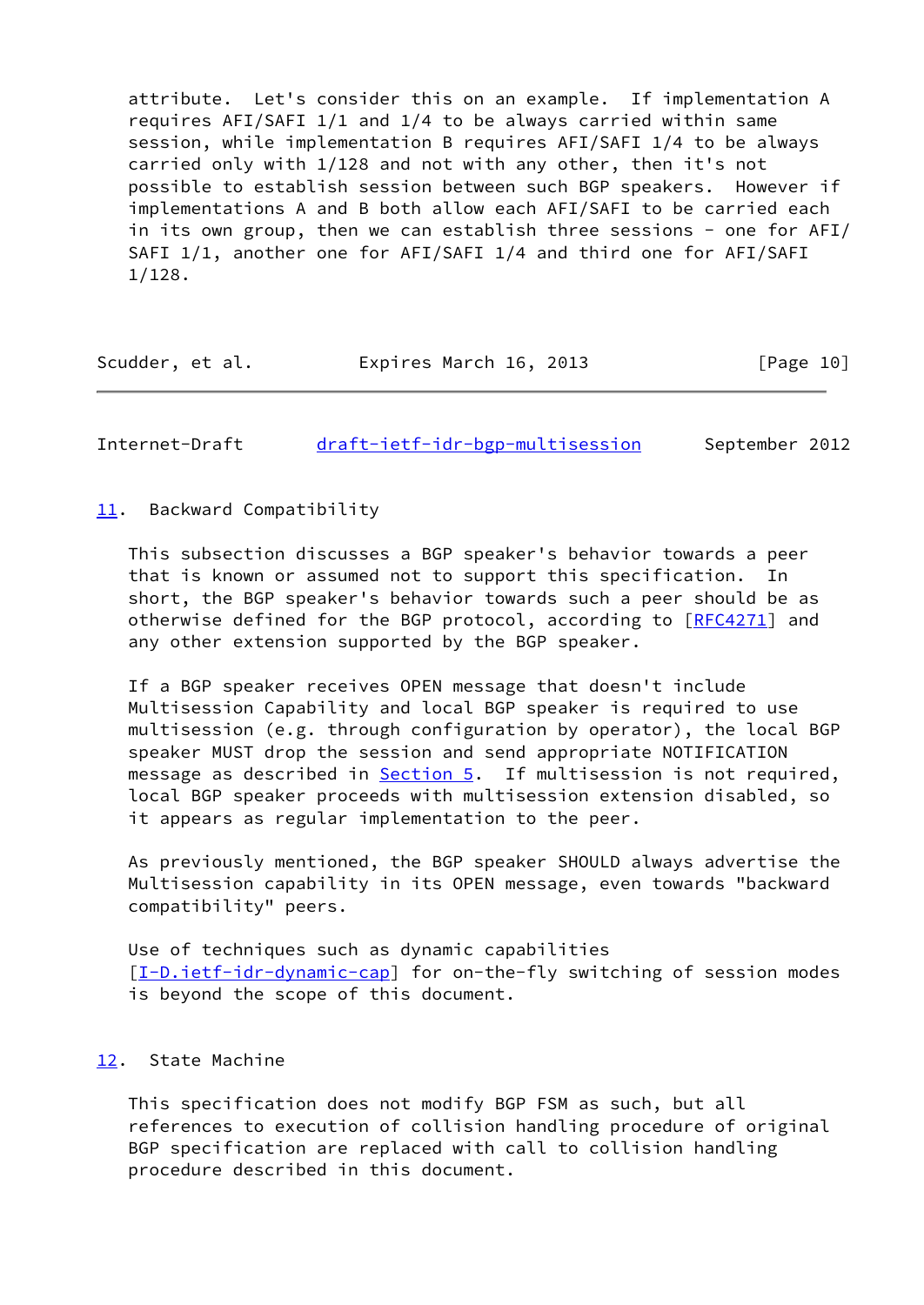attribute. Let's consider this on an example. If implementation A requires AFI/SAFI 1/1 and 1/4 to be always carried within same session, while implementation B requires AFI/SAFI 1/4 to be always carried only with 1/128 and not with any other, then it's not possible to establish session between such BGP speakers. However if implementations A and B both allow each AFI/SAFI to be carried each in its own group, then we can establish three sessions - one for AFI/ SAFI 1/1, another one for AFI/SAFI 1/4 and third one for AFI/SAFI 1/128.

| Scudder, et al. | Expires March 16, 2013 | [Page 10] |
|-----------------|------------------------|-----------|
|-----------------|------------------------|-----------|

<span id="page-11-1"></span>Internet-Draft [draft-ietf-idr-bgp-multisession](https://datatracker.ietf.org/doc/pdf/draft-ietf-idr-bgp-multisession) September 2012

<span id="page-11-0"></span>[11.](#page-11-0) Backward Compatibility

 This subsection discusses a BGP speaker's behavior towards a peer that is known or assumed not to support this specification. In short, the BGP speaker's behavior towards such a peer should be as otherwise defined for the BGP protocol, according to [\[RFC4271](https://datatracker.ietf.org/doc/pdf/rfc4271)] and any other extension supported by the BGP speaker.

 If a BGP speaker receives OPEN message that doesn't include Multisession Capability and local BGP speaker is required to use multisession (e.g. through configuration by operator), the local BGP speaker MUST drop the session and send appropriate NOTIFICATION message as described in **Section 5**. If multisession is not required, local BGP speaker proceeds with multisession extension disabled, so it appears as regular implementation to the peer.

 As previously mentioned, the BGP speaker SHOULD always advertise the Multisession capability in its OPEN message, even towards "backward compatibility" peers.

 Use of techniques such as dynamic capabilities [\[I-D.ietf-idr-dynamic-cap](#page-14-4)] for on-the-fly switching of session modes is beyond the scope of this document.

## <span id="page-11-2"></span>[12.](#page-11-2) State Machine

 This specification does not modify BGP FSM as such, but all references to execution of collision handling procedure of original BGP specification are replaced with call to collision handling procedure described in this document.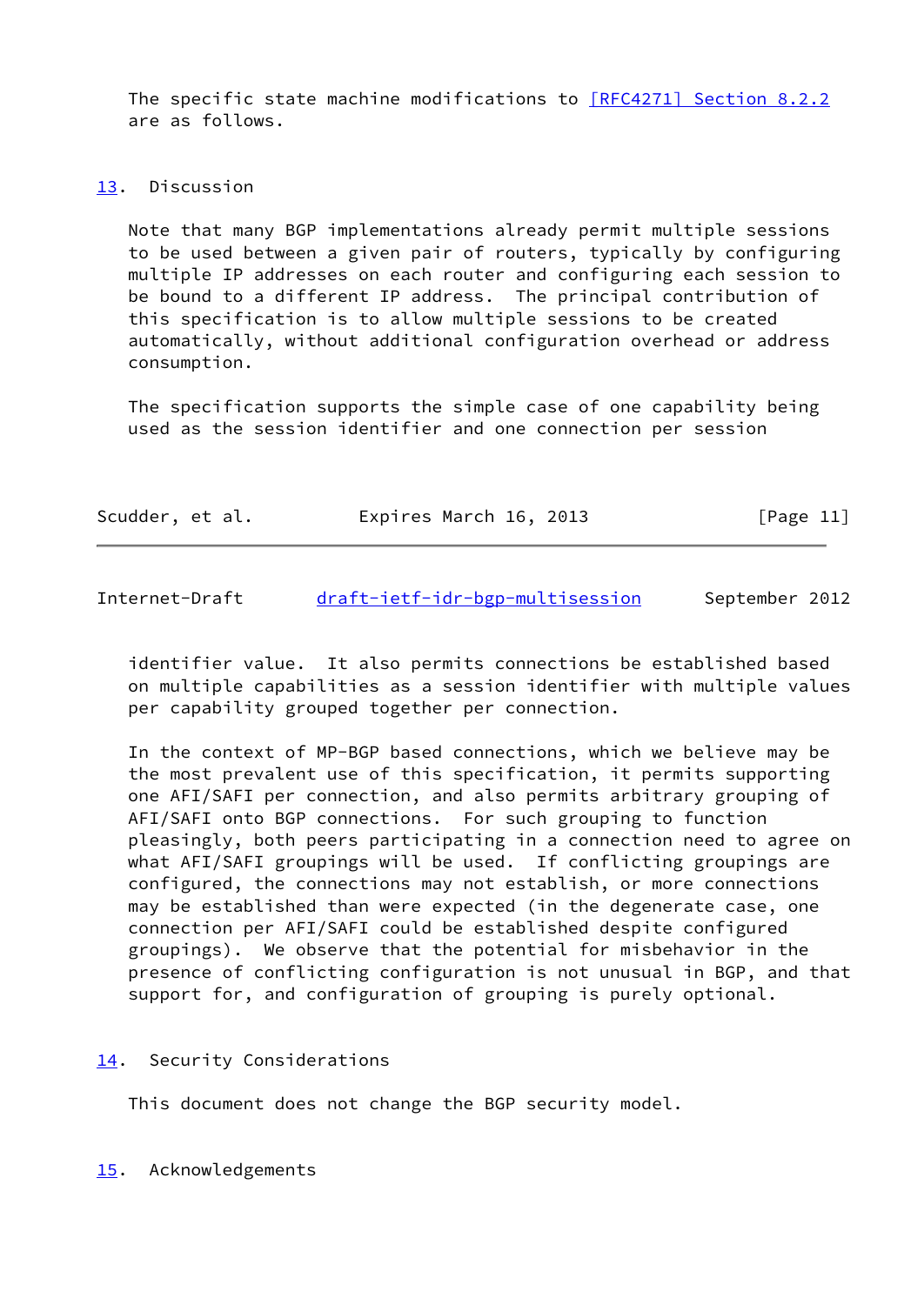The specific state machine modifications to [\[RFC4271\] Section](https://datatracker.ietf.org/doc/pdf/rfc4271#section-8.2.2) 8.2.2 are as follows.

## <span id="page-12-0"></span>[13.](#page-12-0) Discussion

 Note that many BGP implementations already permit multiple sessions to be used between a given pair of routers, typically by configuring multiple IP addresses on each router and configuring each session to be bound to a different IP address. The principal contribution of this specification is to allow multiple sessions to be created automatically, without additional configuration overhead or address consumption.

 The specification supports the simple case of one capability being used as the session identifier and one connection per session

| Scudder, et al. | Expires March 16, 2013 | [Page 11] |
|-----------------|------------------------|-----------|
|                 |                        |           |

<span id="page-12-2"></span>Internet-Draft [draft-ietf-idr-bgp-multisession](https://datatracker.ietf.org/doc/pdf/draft-ietf-idr-bgp-multisession) September 2012

 identifier value. It also permits connections be established based on multiple capabilities as a session identifier with multiple values per capability grouped together per connection.

 In the context of MP-BGP based connections, which we believe may be the most prevalent use of this specification, it permits supporting one AFI/SAFI per connection, and also permits arbitrary grouping of AFI/SAFI onto BGP connections. For such grouping to function pleasingly, both peers participating in a connection need to agree on what AFI/SAFI groupings will be used. If conflicting groupings are configured, the connections may not establish, or more connections may be established than were expected (in the degenerate case, one connection per AFI/SAFI could be established despite configured groupings). We observe that the potential for misbehavior in the presence of conflicting configuration is not unusual in BGP, and that support for, and configuration of grouping is purely optional.

# <span id="page-12-1"></span>[14.](#page-12-1) Security Considerations

This document does not change the BGP security model.

<span id="page-12-3"></span>[15.](#page-12-3) Acknowledgements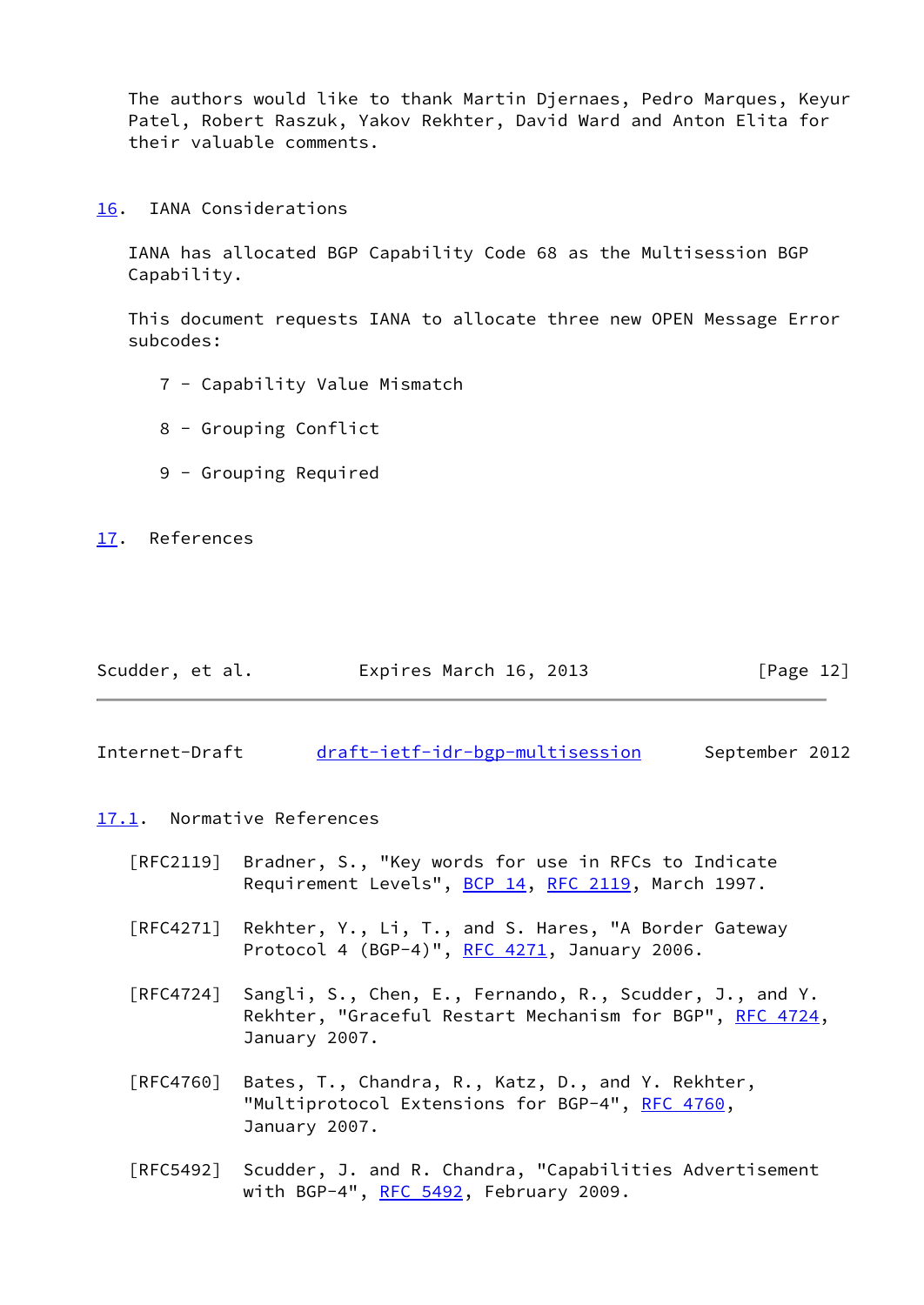The authors would like to thank Martin Djernaes, Pedro Marques, Keyur Patel, Robert Raszuk, Yakov Rekhter, David Ward and Anton Elita for their valuable comments.

<span id="page-13-0"></span>[16.](#page-13-0) IANA Considerations

 IANA has allocated BGP Capability Code 68 as the Multisession BGP Capability.

 This document requests IANA to allocate three new OPEN Message Error subcodes:

- 7 Capability Value Mismatch
- 8 Grouping Conflict
- 9 Grouping Required

<span id="page-13-1"></span>[17.](#page-13-1) References

| Scudder, et al. | Expires March 16, 2013 | [Page 12] |
|-----------------|------------------------|-----------|
|                 |                        |           |

<span id="page-13-2"></span>Internet-Draft [draft-ietf-idr-bgp-multisession](https://datatracker.ietf.org/doc/pdf/draft-ietf-idr-bgp-multisession) September 2012

- <span id="page-13-3"></span>[17.1](#page-13-3). Normative References
	- [RFC2119] Bradner, S., "Key words for use in RFCs to Indicate Requirement Levels", [BCP 14](https://datatracker.ietf.org/doc/pdf/bcp14), [RFC 2119](https://datatracker.ietf.org/doc/pdf/rfc2119), March 1997.
	- [RFC4271] Rekhter, Y., Li, T., and S. Hares, "A Border Gateway Protocol 4 (BGP-4)", [RFC 4271](https://datatracker.ietf.org/doc/pdf/rfc4271), January 2006.
	- [RFC4724] Sangli, S., Chen, E., Fernando, R., Scudder, J., and Y. Rekhter, "Graceful Restart Mechanism for BGP", [RFC 4724](https://datatracker.ietf.org/doc/pdf/rfc4724), January 2007.
	- [RFC4760] Bates, T., Chandra, R., Katz, D., and Y. Rekhter, "Multiprotocol Extensions for BGP-4", [RFC 4760](https://datatracker.ietf.org/doc/pdf/rfc4760), January 2007.
	- [RFC5492] Scudder, J. and R. Chandra, "Capabilities Advertisement with BGP-4", [RFC 5492](https://datatracker.ietf.org/doc/pdf/rfc5492), February 2009.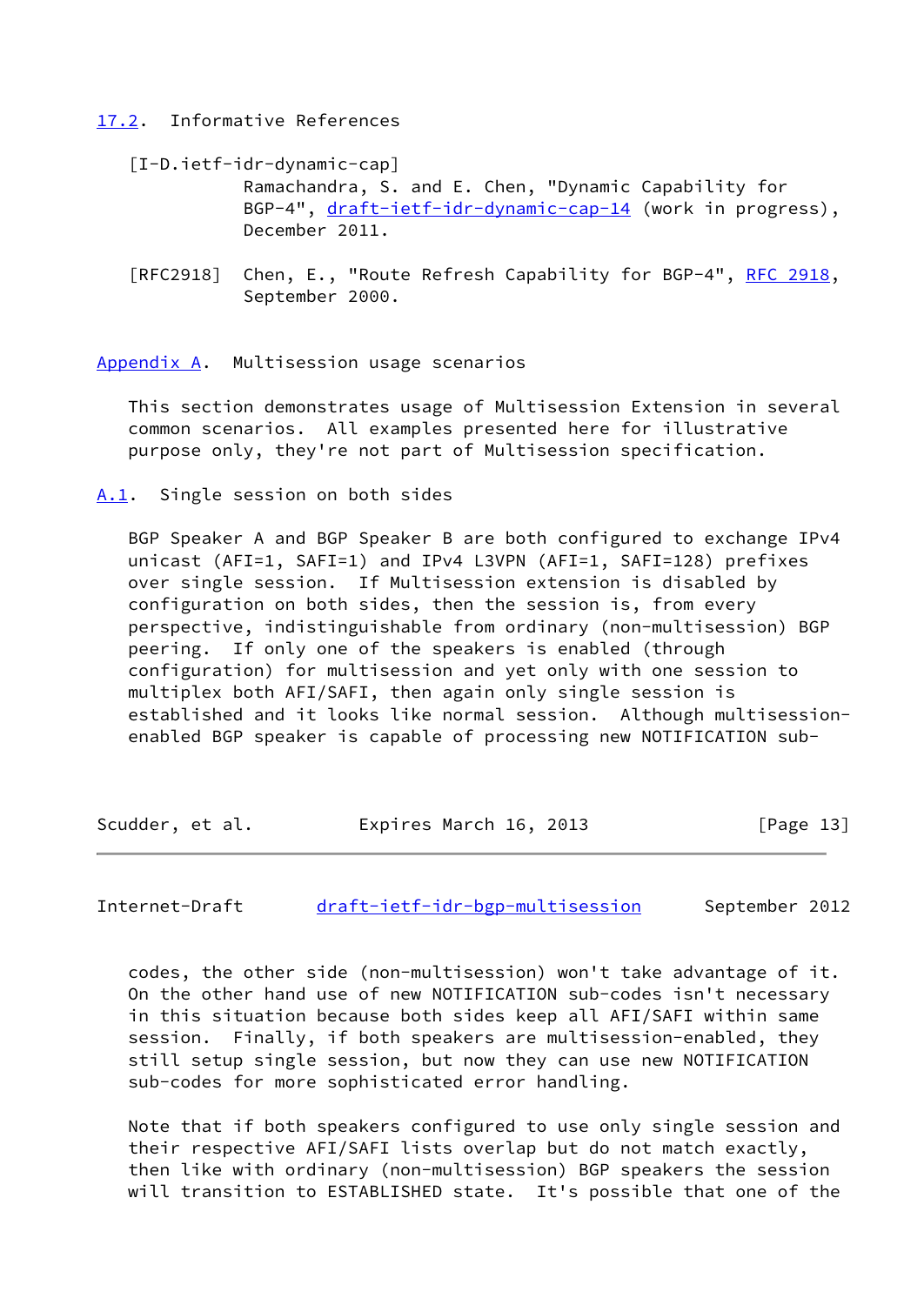<span id="page-14-0"></span>[17.2](#page-14-0). Informative References

<span id="page-14-4"></span>[I-D.ietf-idr-dynamic-cap]

 Ramachandra, S. and E. Chen, "Dynamic Capability for BGP-4", [draft-ietf-idr-dynamic-cap-14](https://datatracker.ietf.org/doc/pdf/draft-ietf-idr-dynamic-cap-14) (work in progress), December 2011.

[RFC2918] Chen, E., "Route Refresh Capability for BGP-4", [RFC 2918,](https://datatracker.ietf.org/doc/pdf/rfc2918) September 2000.

<span id="page-14-1"></span>[Appendix A.](#page-14-1) Multisession usage scenarios

 This section demonstrates usage of Multisession Extension in several common scenarios. All examples presented here for illustrative purpose only, they're not part of Multisession specification.

<span id="page-14-2"></span>[A.1](#page-14-2). Single session on both sides

 BGP Speaker A and BGP Speaker B are both configured to exchange IPv4 unicast (AFI=1, SAFI=1) and IPv4 L3VPN (AFI=1, SAFI=128) prefixes over single session. If Multisession extension is disabled by configuration on both sides, then the session is, from every perspective, indistinguishable from ordinary (non-multisession) BGP peering. If only one of the speakers is enabled (through configuration) for multisession and yet only with one session to multiplex both AFI/SAFI, then again only single session is established and it looks like normal session. Although multisession enabled BGP speaker is capable of processing new NOTIFICATION sub-

Scudder, et al. **Expires March 16, 2013** [Page 13]

<span id="page-14-3"></span>Internet-Draft [draft-ietf-idr-bgp-multisession](https://datatracker.ietf.org/doc/pdf/draft-ietf-idr-bgp-multisession) September 2012

 codes, the other side (non-multisession) won't take advantage of it. On the other hand use of new NOTIFICATION sub-codes isn't necessary in this situation because both sides keep all AFI/SAFI within same session. Finally, if both speakers are multisession-enabled, they still setup single session, but now they can use new NOTIFICATION sub-codes for more sophisticated error handling.

 Note that if both speakers configured to use only single session and their respective AFI/SAFI lists overlap but do not match exactly, then like with ordinary (non-multisession) BGP speakers the session will transition to ESTABLISHED state. It's possible that one of the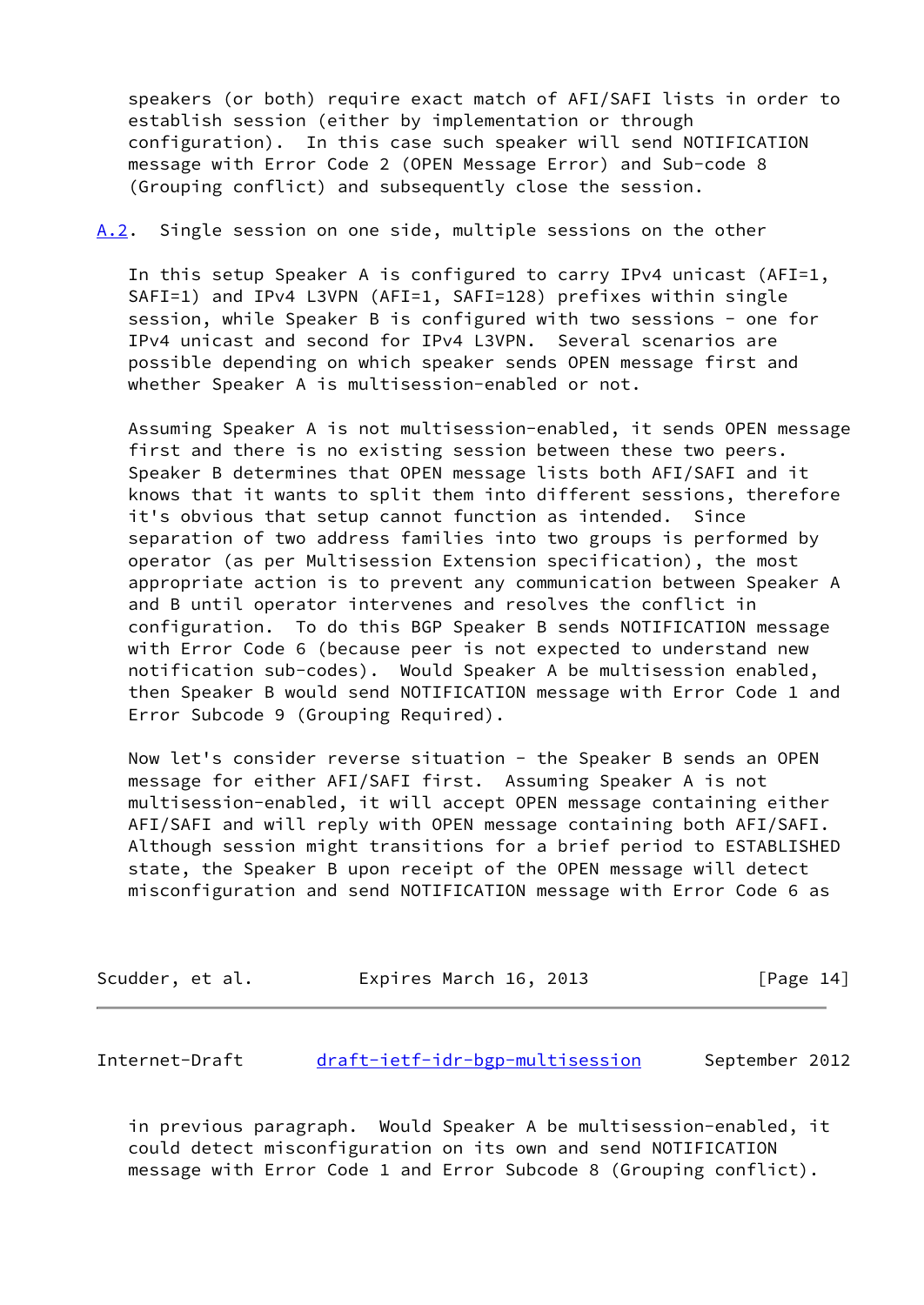speakers (or both) require exact match of AFI/SAFI lists in order to establish session (either by implementation or through configuration). In this case such speaker will send NOTIFICATION message with Error Code 2 (OPEN Message Error) and Sub-code 8 (Grouping conflict) and subsequently close the session.

## <span id="page-15-1"></span>[A.2](#page-15-1). Single session on one side, multiple sessions on the other

 In this setup Speaker A is configured to carry IPv4 unicast (AFI=1, SAFI=1) and IPv4 L3VPN (AFI=1, SAFI=128) prefixes within single session, while Speaker B is configured with two sessions - one for IPv4 unicast and second for IPv4 L3VPN. Several scenarios are possible depending on which speaker sends OPEN message first and whether Speaker A is multisession-enabled or not.

 Assuming Speaker A is not multisession-enabled, it sends OPEN message first and there is no existing session between these two peers. Speaker B determines that OPEN message lists both AFI/SAFI and it knows that it wants to split them into different sessions, therefore it's obvious that setup cannot function as intended. Since separation of two address families into two groups is performed by operator (as per Multisession Extension specification), the most appropriate action is to prevent any communication between Speaker A and B until operator intervenes and resolves the conflict in configuration. To do this BGP Speaker B sends NOTIFICATION message with Error Code 6 (because peer is not expected to understand new notification sub-codes). Would Speaker A be multisession enabled, then Speaker B would send NOTIFICATION message with Error Code 1 and Error Subcode 9 (Grouping Required).

Now let's consider reverse situation - the Speaker B sends an OPEN message for either AFI/SAFI first. Assuming Speaker A is not multisession-enabled, it will accept OPEN message containing either AFI/SAFI and will reply with OPEN message containing both AFI/SAFI. Although session might transitions for a brief period to ESTABLISHED state, the Speaker B upon receipt of the OPEN message will detect misconfiguration and send NOTIFICATION message with Error Code 6 as

| Scudder, et al. | Expires March 16, 2013 | [Page 14] |
|-----------------|------------------------|-----------|
|-----------------|------------------------|-----------|

<span id="page-15-0"></span>Internet-Draft [draft-ietf-idr-bgp-multisession](https://datatracker.ietf.org/doc/pdf/draft-ietf-idr-bgp-multisession) September 2012

 in previous paragraph. Would Speaker A be multisession-enabled, it could detect misconfiguration on its own and send NOTIFICATION message with Error Code 1 and Error Subcode 8 (Grouping conflict).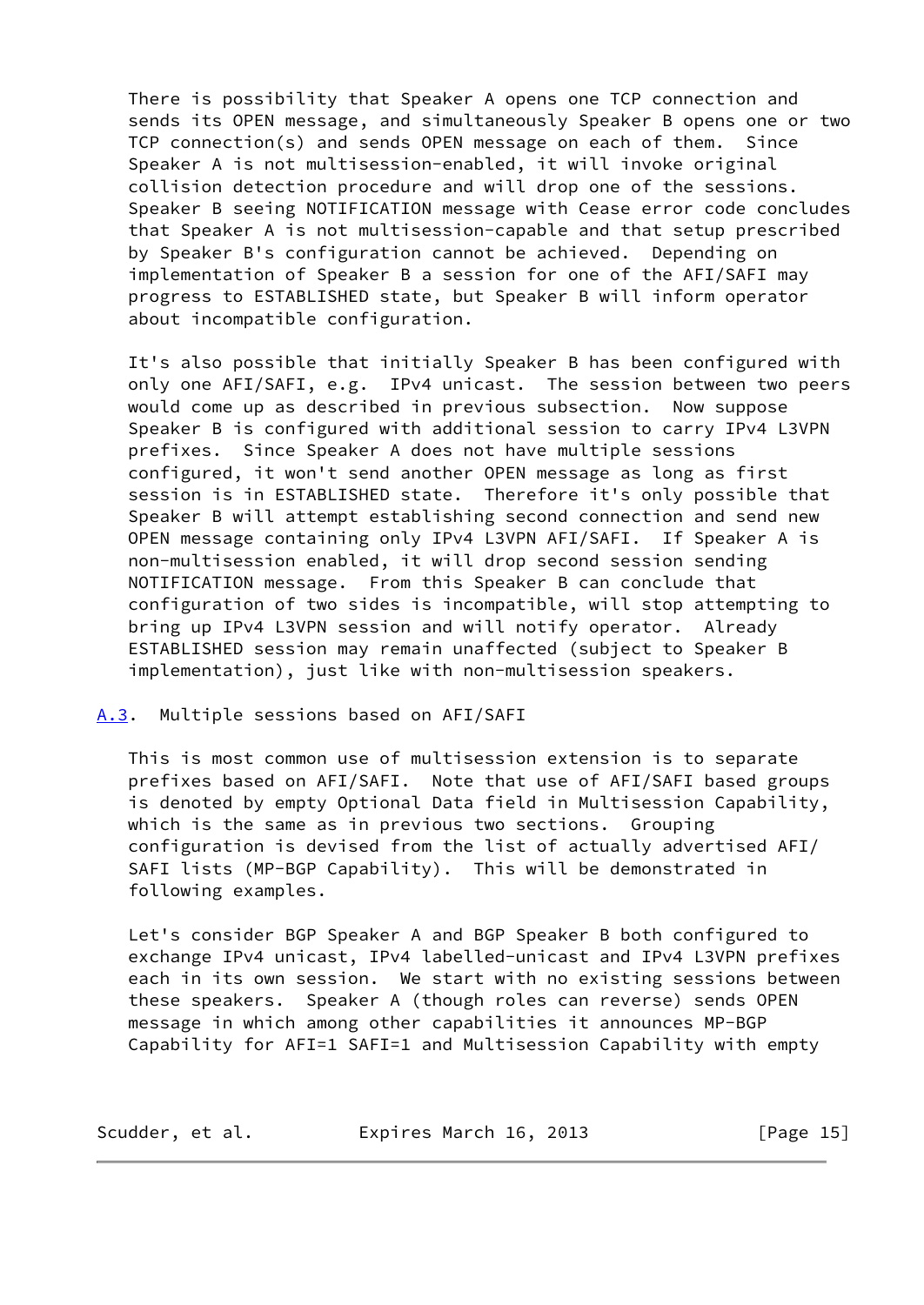There is possibility that Speaker A opens one TCP connection and sends its OPEN message, and simultaneously Speaker B opens one or two TCP connection(s) and sends OPEN message on each of them. Since Speaker A is not multisession-enabled, it will invoke original collision detection procedure and will drop one of the sessions. Speaker B seeing NOTIFICATION message with Cease error code concludes that Speaker A is not multisession-capable and that setup prescribed by Speaker B's configuration cannot be achieved. Depending on implementation of Speaker B a session for one of the AFI/SAFI may progress to ESTABLISHED state, but Speaker B will inform operator about incompatible configuration.

 It's also possible that initially Speaker B has been configured with only one AFI/SAFI, e.g. IPv4 unicast. The session between two peers would come up as described in previous subsection. Now suppose Speaker B is configured with additional session to carry IPv4 L3VPN prefixes. Since Speaker A does not have multiple sessions configured, it won't send another OPEN message as long as first session is in ESTABLISHED state. Therefore it's only possible that Speaker B will attempt establishing second connection and send new OPEN message containing only IPv4 L3VPN AFI/SAFI. If Speaker A is non-multisession enabled, it will drop second session sending NOTIFICATION message. From this Speaker B can conclude that configuration of two sides is incompatible, will stop attempting to bring up IPv4 L3VPN session and will notify operator. Already ESTABLISHED session may remain unaffected (subject to Speaker B implementation), just like with non-multisession speakers.

## <span id="page-16-0"></span>[A.3](#page-16-0). Multiple sessions based on AFI/SAFI

 This is most common use of multisession extension is to separate prefixes based on AFI/SAFI. Note that use of AFI/SAFI based groups is denoted by empty Optional Data field in Multisession Capability, which is the same as in previous two sections. Grouping configuration is devised from the list of actually advertised AFI/ SAFI lists (MP-BGP Capability). This will be demonstrated in following examples.

 Let's consider BGP Speaker A and BGP Speaker B both configured to exchange IPv4 unicast, IPv4 labelled-unicast and IPv4 L3VPN prefixes each in its own session. We start with no existing sessions between these speakers. Speaker A (though roles can reverse) sends OPEN message in which among other capabilities it announces MP-BGP Capability for AFI=1 SAFI=1 and Multisession Capability with empty

| Scudder, et al. | Expires March 16, 2013 | [Page 15] |
|-----------------|------------------------|-----------|
|-----------------|------------------------|-----------|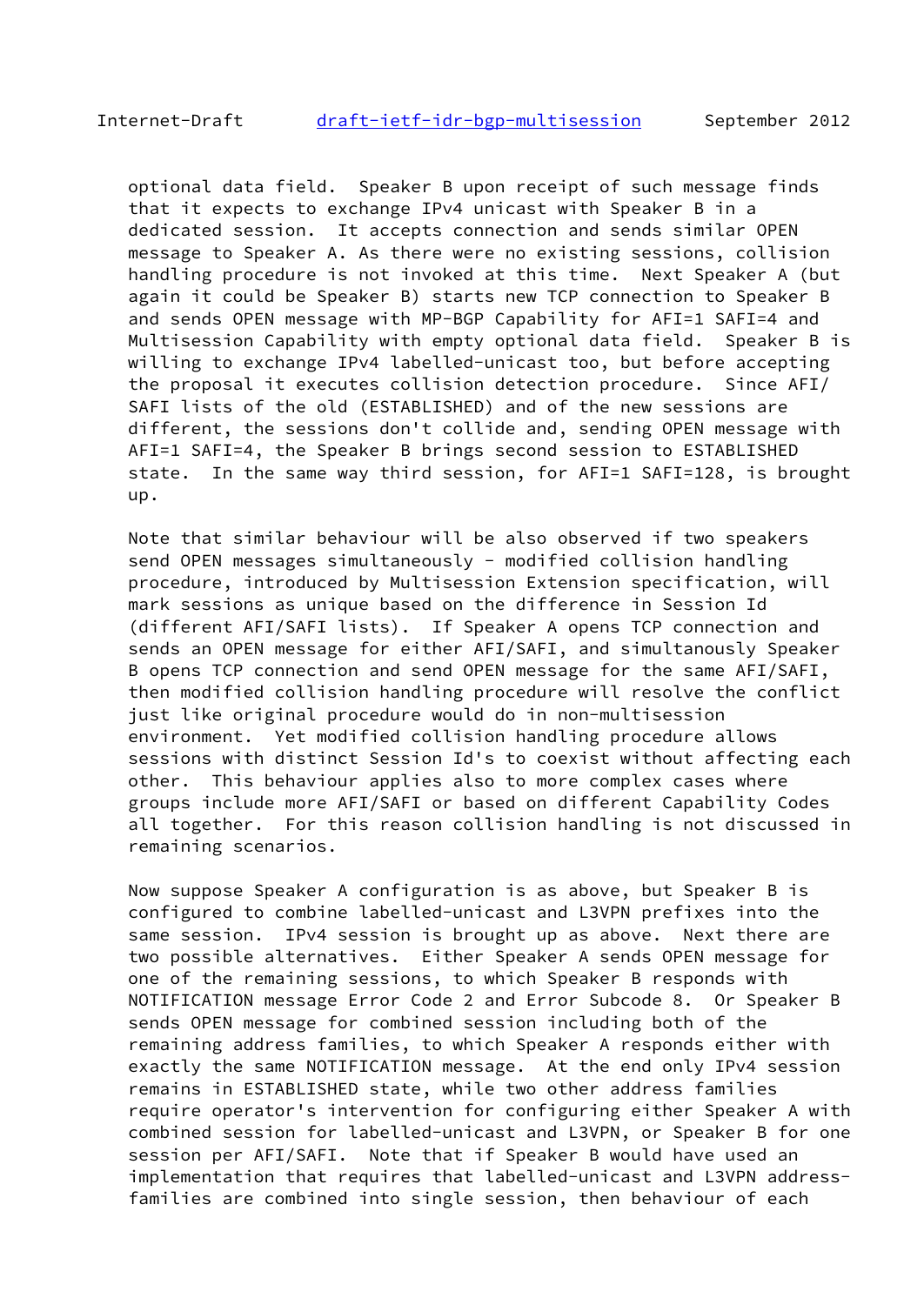optional data field. Speaker B upon receipt of such message finds that it expects to exchange IPv4 unicast with Speaker B in a dedicated session. It accepts connection and sends similar OPEN message to Speaker A. As there were no existing sessions, collision handling procedure is not invoked at this time. Next Speaker A (but again it could be Speaker B) starts new TCP connection to Speaker B and sends OPEN message with MP-BGP Capability for AFI=1 SAFI=4 and Multisession Capability with empty optional data field. Speaker B is willing to exchange IPv4 labelled-unicast too, but before accepting the proposal it executes collision detection procedure. Since AFI/ SAFI lists of the old (ESTABLISHED) and of the new sessions are different, the sessions don't collide and, sending OPEN message with AFI=1 SAFI=4, the Speaker B brings second session to ESTABLISHED state. In the same way third session, for AFI=1 SAFI=128, is brought up.

 Note that similar behaviour will be also observed if two speakers send OPEN messages simultaneously - modified collision handling procedure, introduced by Multisession Extension specification, will mark sessions as unique based on the difference in Session Id (different AFI/SAFI lists). If Speaker A opens TCP connection and sends an OPEN message for either AFI/SAFI, and simultanously Speaker B opens TCP connection and send OPEN message for the same AFI/SAFI, then modified collision handling procedure will resolve the conflict just like original procedure would do in non-multisession environment. Yet modified collision handling procedure allows sessions with distinct Session Id's to coexist without affecting each other. This behaviour applies also to more complex cases where groups include more AFI/SAFI or based on different Capability Codes all together. For this reason collision handling is not discussed in remaining scenarios.

 Now suppose Speaker A configuration is as above, but Speaker B is configured to combine labelled-unicast and L3VPN prefixes into the same session. IPv4 session is brought up as above. Next there are two possible alternatives. Either Speaker A sends OPEN message for one of the remaining sessions, to which Speaker B responds with NOTIFICATION message Error Code 2 and Error Subcode 8. Or Speaker B sends OPEN message for combined session including both of the remaining address families, to which Speaker A responds either with exactly the same NOTIFICATION message. At the end only IPv4 session remains in ESTABLISHED state, while two other address families require operator's intervention for configuring either Speaker A with combined session for labelled-unicast and L3VPN, or Speaker B for one session per AFI/SAFI. Note that if Speaker B would have used an implementation that requires that labelled-unicast and L3VPN address families are combined into single session, then behaviour of each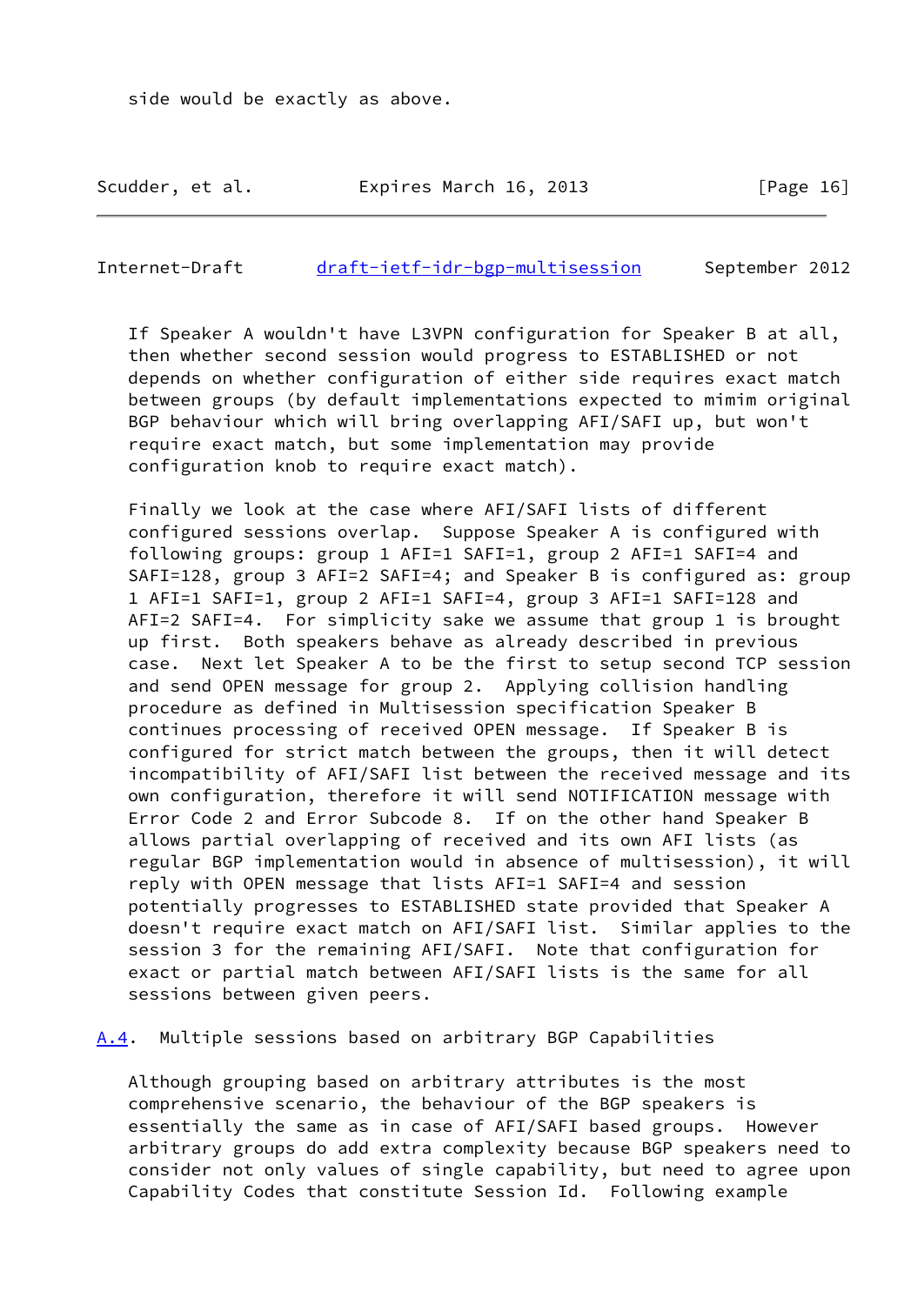Scudder, et al. Expires March 16, 2013 [Page 16]

<span id="page-18-1"></span>Internet-Draft [draft-ietf-idr-bgp-multisession](https://datatracker.ietf.org/doc/pdf/draft-ietf-idr-bgp-multisession) September 2012

 If Speaker A wouldn't have L3VPN configuration for Speaker B at all, then whether second session would progress to ESTABLISHED or not depends on whether configuration of either side requires exact match between groups (by default implementations expected to mimim original BGP behaviour which will bring overlapping AFI/SAFI up, but won't require exact match, but some implementation may provide configuration knob to require exact match).

 Finally we look at the case where AFI/SAFI lists of different configured sessions overlap. Suppose Speaker A is configured with following groups: group 1 AFI=1 SAFI=1, group 2 AFI=1 SAFI=4 and SAFI=128, group 3 AFI=2 SAFI=4; and Speaker B is configured as: group 1 AFI=1 SAFI=1, group 2 AFI=1 SAFI=4, group 3 AFI=1 SAFI=128 and AFI=2 SAFI=4. For simplicity sake we assume that group 1 is brought up first. Both speakers behave as already described in previous case. Next let Speaker A to be the first to setup second TCP session and send OPEN message for group 2. Applying collision handling procedure as defined in Multisession specification Speaker B continues processing of received OPEN message. If Speaker B is configured for strict match between the groups, then it will detect incompatibility of AFI/SAFI list between the received message and its own configuration, therefore it will send NOTIFICATION message with Error Code 2 and Error Subcode 8. If on the other hand Speaker B allows partial overlapping of received and its own AFI lists (as regular BGP implementation would in absence of multisession), it will reply with OPEN message that lists AFI=1 SAFI=4 and session potentially progresses to ESTABLISHED state provided that Speaker A doesn't require exact match on AFI/SAFI list. Similar applies to the session 3 for the remaining AFI/SAFI. Note that configuration for exact or partial match between AFI/SAFI lists is the same for all sessions between given peers.

<span id="page-18-0"></span>[A.4](#page-18-0). Multiple sessions based on arbitrary BGP Capabilities

 Although grouping based on arbitrary attributes is the most comprehensive scenario, the behaviour of the BGP speakers is essentially the same as in case of AFI/SAFI based groups. However arbitrary groups do add extra complexity because BGP speakers need to consider not only values of single capability, but need to agree upon Capability Codes that constitute Session Id. Following example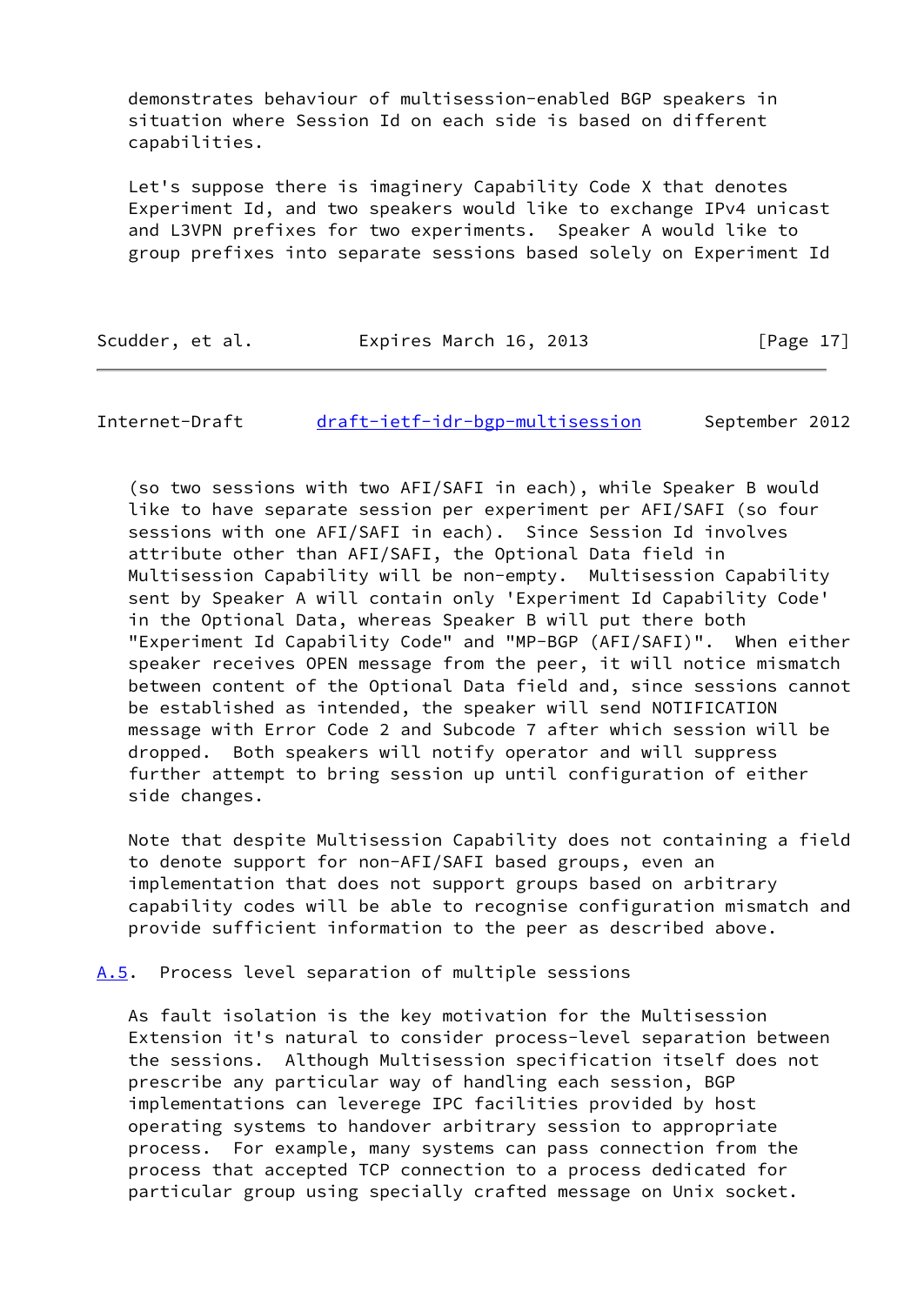demonstrates behaviour of multisession-enabled BGP speakers in situation where Session Id on each side is based on different capabilities.

 Let's suppose there is imaginery Capability Code X that denotes Experiment Id, and two speakers would like to exchange IPv4 unicast and L3VPN prefixes for two experiments. Speaker A would like to group prefixes into separate sessions based solely on Experiment Id

Scudder, et al. Expires March 16, 2013 [Page 17]

<span id="page-19-1"></span>Internet-Draft [draft-ietf-idr-bgp-multisession](https://datatracker.ietf.org/doc/pdf/draft-ietf-idr-bgp-multisession) September 2012

 (so two sessions with two AFI/SAFI in each), while Speaker B would like to have separate session per experiment per AFI/SAFI (so four sessions with one AFI/SAFI in each). Since Session Id involves attribute other than AFI/SAFI, the Optional Data field in Multisession Capability will be non-empty. Multisession Capability sent by Speaker A will contain only 'Experiment Id Capability Code' in the Optional Data, whereas Speaker B will put there both "Experiment Id Capability Code" and "MP-BGP (AFI/SAFI)". When either speaker receives OPEN message from the peer, it will notice mismatch between content of the Optional Data field and, since sessions cannot be established as intended, the speaker will send NOTIFICATION message with Error Code 2 and Subcode 7 after which session will be dropped. Both speakers will notify operator and will suppress further attempt to bring session up until configuration of either side changes.

 Note that despite Multisession Capability does not containing a field to denote support for non-AFI/SAFI based groups, even an implementation that does not support groups based on arbitrary capability codes will be able to recognise configuration mismatch and provide sufficient information to the peer as described above.

<span id="page-19-0"></span>[A.5](#page-19-0). Process level separation of multiple sessions

 As fault isolation is the key motivation for the Multisession Extension it's natural to consider process-level separation between the sessions. Although Multisession specification itself does not prescribe any particular way of handling each session, BGP implementations can leverege IPC facilities provided by host operating systems to handover arbitrary session to appropriate process. For example, many systems can pass connection from the process that accepted TCP connection to a process dedicated for particular group using specially crafted message on Unix socket.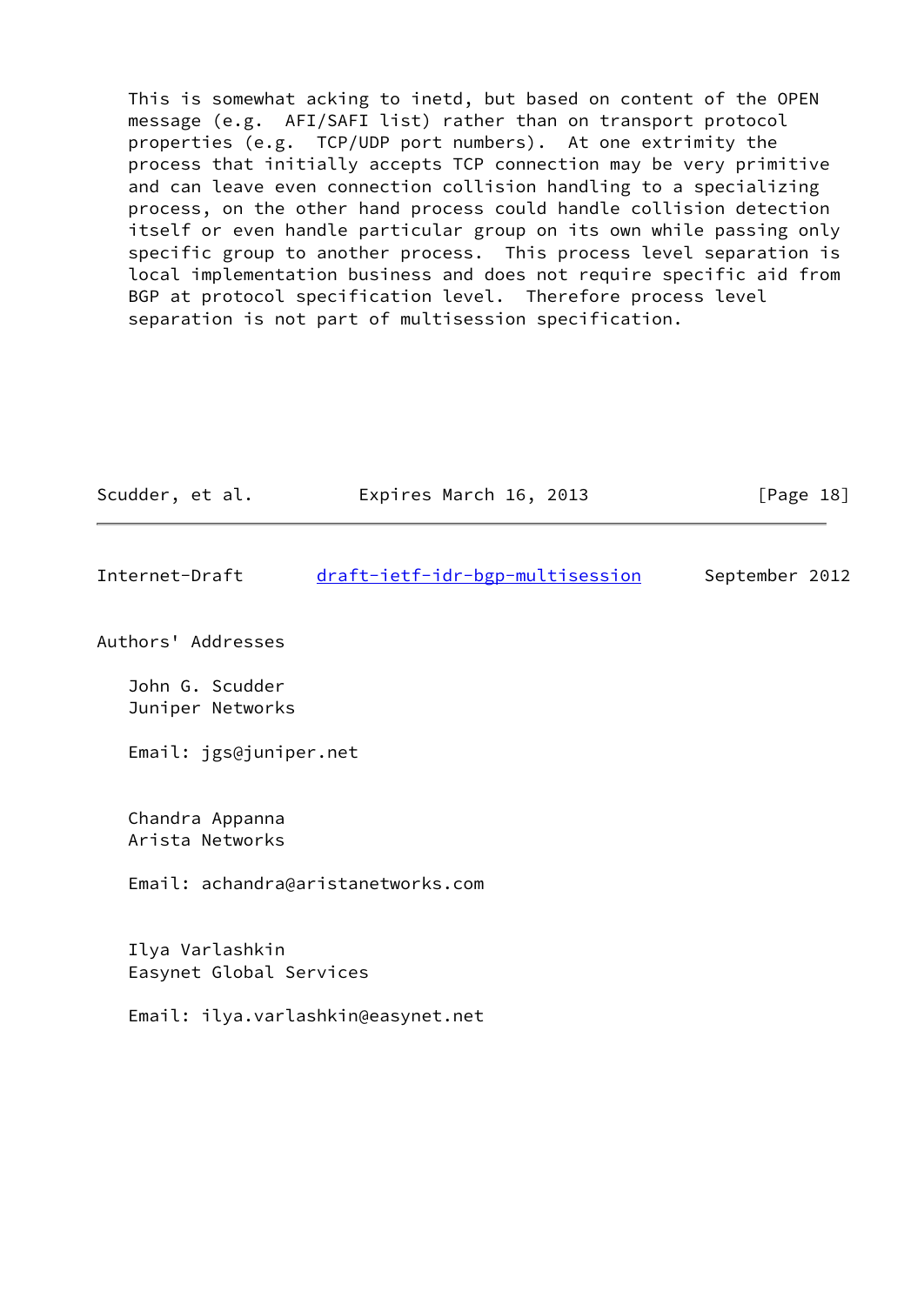This is somewhat acking to inetd, but based on content of the OPEN message (e.g. AFI/SAFI list) rather than on transport protocol properties (e.g. TCP/UDP port numbers). At one extrimity the process that initially accepts TCP connection may be very primitive and can leave even connection collision handling to a specializing process, on the other hand process could handle collision detection itself or even handle particular group on its own while passing only specific group to another process. This process level separation is local implementation business and does not require specific aid from BGP at protocol specification level. Therefore process level separation is not part of multisession specification.

| Scudder, et al.                            | Expires March 16, 2013             | [Page $18$ ]   |
|--------------------------------------------|------------------------------------|----------------|
| Internet-Draft                             | draft-ietf-idr-bgp-multisession    | September 2012 |
| Authors' Addresses                         |                                    |                |
| John G. Scudder<br>Juniper Networks        |                                    |                |
| Email: jgs@juniper.net                     |                                    |                |
| Chandra Appanna<br>Arista Networks         |                                    |                |
|                                            | Email: achandra@aristanetworks.com |                |
| Ilya Varlashkin<br>Easynet Global Services |                                    |                |
|                                            | Email: ilya.varlashkin@easynet.net |                |